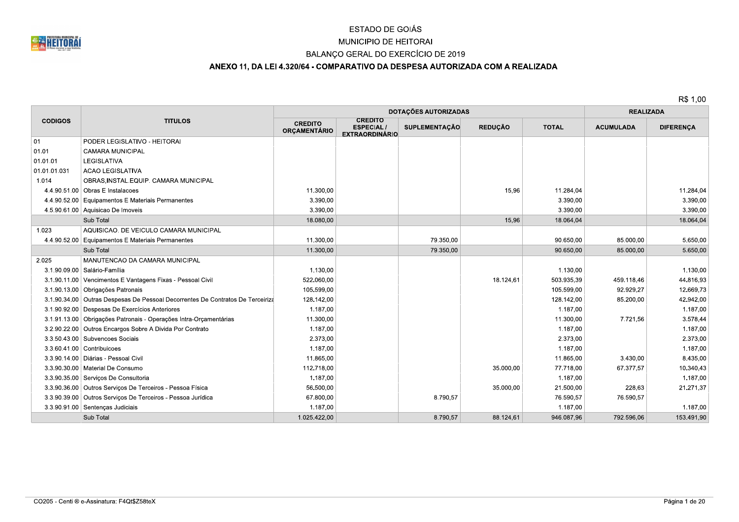

# MUNICIPIO DE HEITORAI

## BALANÇO GERAL DO EXERCÍCIO DE 2019

## ANEXO 11, DA LEI 4.320/64 - COMPARATIVO DA DESPESA AUTORIZADA COM A REALIZADA

|                |                                                                                | DOTAÇÕES AUTORIZADAS                  |                                                             |                      |                |              | <b>REALIZADA</b> |                  |  |
|----------------|--------------------------------------------------------------------------------|---------------------------------------|-------------------------------------------------------------|----------------------|----------------|--------------|------------------|------------------|--|
| <b>CODIGOS</b> | <b>TITULOS</b>                                                                 | <b>CREDITO</b><br><b>ORCAMENTÁRIO</b> | <b>CREDITO</b><br><b>ESPECIAL/</b><br><b>EXTRAORDINÁRIO</b> | <b>SUPLEMENTAÇÃO</b> | <b>REDUÇÃO</b> | <b>TOTAL</b> | <b>ACUMULADA</b> | <b>DIFERENÇA</b> |  |
| 01             | PODER LEGISLATIVO - HEITORAI                                                   |                                       |                                                             |                      |                |              |                  |                  |  |
| 01.01          | <b>CAMARA MUNICIPAL</b>                                                        |                                       |                                                             |                      |                |              |                  |                  |  |
| 01.01.01       | LEGISLATIVA                                                                    |                                       |                                                             |                      |                |              |                  |                  |  |
| 01.01.01.031   | <b>ACAO LEGISLATIVA</b>                                                        |                                       |                                                             |                      |                |              |                  |                  |  |
| 1.014          | OBRAS, INSTAL.EQUIP. CAMARA MUNICIPAL                                          |                                       |                                                             |                      |                |              |                  |                  |  |
|                | 4.4.90.51.00 Obras E Instalacoes                                               | 11.300,00                             |                                                             |                      | 15,96          | 11.284.04    |                  | 11.284,04        |  |
|                | 4.4.90.52.00 Equipamentos E Materiais Permanentes                              | 3.390,00                              |                                                             |                      |                | 3.390,00     |                  | 3.390,00         |  |
|                | 4.5.90.61.00 Aquisicao De Imoveis                                              | 3.390,00                              |                                                             |                      |                | 3.390,00     |                  | 3.390,00         |  |
|                | Sub Total                                                                      | 18.080,00                             |                                                             |                      | 15,96          | 18.064,04    |                  | 18.064,04        |  |
| 1.023          | AQUISICAO. DE VEICULO CAMARA MUNICIPAL                                         |                                       |                                                             |                      |                |              |                  |                  |  |
|                | 4.4.90.52.00 Equipamentos E Materiais Permanentes                              | 11.300,00                             |                                                             | 79.350,00            |                | 90.650,00    | 85.000,00        | 5.650,00         |  |
|                | Sub Total                                                                      | 11.300,00                             |                                                             | 79.350,00            |                | 90.650,00    | 85.000,00        | 5.650,00         |  |
| 2.025          | MANUTENCAO DA CAMARA MUNICIPAL                                                 |                                       |                                                             |                      |                |              |                  |                  |  |
|                | 3.1.90.09.00 Salário-Família                                                   | 1.130,00                              |                                                             |                      |                | 1.130,00     |                  | 1.130,00         |  |
|                | 3.1.90.11.00 Vencimentos E Vantagens Fixas - Pessoal Civil                     | 522.060.00                            |                                                             |                      | 18.124,61      | 503.935.39   | 459.118.46       | 44.816.93        |  |
|                | 3.1.90.13.00 Obrigações Patronais                                              | 105.599,00                            |                                                             |                      |                | 105.599,00   | 92.929,27        | 12.669.73        |  |
|                | 3.1.90.34.00 Outras Despesas De Pessoal Decorrentes De Contratos De Terceiriza | 128.142,00                            |                                                             |                      |                | 128.142,00   | 85.200,00        | 42.942,00        |  |
|                | 3.1.90.92.00 Despesas De Exercícios Anteriores                                 | 1.187,00                              |                                                             |                      |                | 1.187,00     |                  | 1.187,00         |  |
|                | 3.1.91.13.00 Obrigações Patronais - Operações Intra-Orçamentárias              | 11.300,00                             |                                                             |                      |                | 11.300,00    | 7.721,56         | 3.578,44         |  |
|                | 3.2.90.22.00 Outros Encargos Sobre A Divida Por Contrato                       | 1.187,00                              |                                                             |                      |                | 1.187,00     |                  | 1.187,00         |  |
|                | 3.3.50.43.00 Subvencoes Sociais                                                | 2.373,00                              |                                                             |                      |                | 2.373,00     |                  | 2.373,00         |  |
|                | $3.3.60.41.00$ Contribuicoes                                                   | 1.187,00                              |                                                             |                      |                | 1.187,00     |                  | 1.187,00         |  |
|                | 3.3.90.14.00   Diárias - Pessoal Civil                                         | 11.865,00                             |                                                             |                      |                | 11.865,00    | 3.430,00         | 8.435,00         |  |
|                | 3.3.90.30.00   Material De Consumo                                             | 112.718,00                            |                                                             |                      | 35.000,00      | 77.718,00    | 67.377,57        | 10.340,43        |  |
|                | 3.3.90.35.00 Servicos De Consultoria                                           | 1.187,00                              |                                                             |                      |                | 1.187,00     |                  | 1.187,00         |  |
|                | 3.3.90.36.00 Outros Servicos De Terceiros - Pessoa Física                      | 56.500,00                             |                                                             |                      | 35.000,00      | 21.500,00    | 228,63           | 21.271,37        |  |
|                | 3.3.90.39.00 Outros Serviços De Terceiros - Pessoa Jurídica                    | 67.800,00                             |                                                             | 8.790,57             |                | 76.590,57    | 76.590,57        |                  |  |
|                | 3.3.90.91.00 Sentenças Judiciais                                               | 1.187,00                              |                                                             |                      |                | 1.187,00     |                  | 1.187,00         |  |
|                | Sub Total                                                                      | 1.025.422,00                          |                                                             | 8.790,57             | 88.124.61      | 946.087.96   | 792.596.06       | 153.491,90       |  |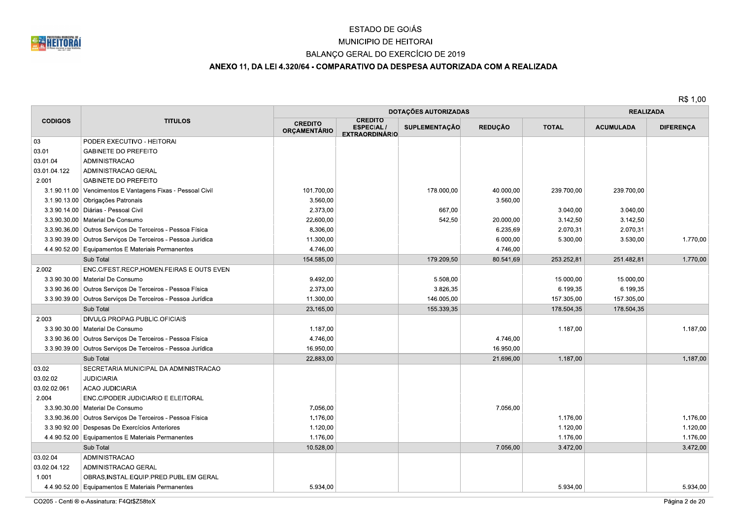

# MUNICIPIO DE HEITORAI

## BALANÇO GERAL DO EXERCÍCIO DE 2019

# ANEXO 11, DA LEI 4.320/64 - COMPARATIVO DA DESPESA AUTORIZADA COM A REALIZADA

|                |                                                             |                                       |                                                             | <b>DOTAÇÕES AUTORIZADAS</b> |                |              | <b>REALIZADA</b> |                  |
|----------------|-------------------------------------------------------------|---------------------------------------|-------------------------------------------------------------|-----------------------------|----------------|--------------|------------------|------------------|
| <b>CODIGOS</b> | <b>TITULOS</b>                                              | <b>CREDITO</b><br><b>ORCAMENTÁRIO</b> | <b>CREDITO</b><br><b>ESPECIAL/</b><br><b>EXTRAORDINÁRIO</b> | <b>SUPLEMENTAÇÃO</b>        | <b>REDUCÃO</b> | <b>TOTAL</b> | <b>ACUMULADA</b> | <b>DIFERENÇA</b> |
| 03             | PODER EXECUTIVO - HEITORAI                                  |                                       |                                                             |                             |                |              |                  |                  |
| 03.01          | <b>GABINETE DO PREFEITO</b>                                 |                                       |                                                             |                             |                |              |                  |                  |
| 03.01.04       | <b>ADMINISTRACAO</b>                                        |                                       |                                                             |                             |                |              |                  |                  |
| 03.01.04.122   | ADMINISTRACAO GERAL                                         |                                       |                                                             |                             |                |              |                  |                  |
| 2.001          | <b>GABINETE DO PREFEITO</b>                                 |                                       |                                                             |                             |                |              |                  |                  |
|                | 3.1.90.11.00 Vencimentos E Vantagens Fixas - Pessoal Civil  | 101.700,00                            |                                                             | 178.000,00                  | 40.000,00      | 239.700,00   | 239.700,00       |                  |
|                | 3.1.90.13.00 Obrigações Patronais                           | 3.560,00                              |                                                             |                             | 3.560,00       |              |                  |                  |
|                | 3.3.90.14.00 Diárias - Pessoal Civil                        | 2.373,00                              |                                                             | 667,00                      |                | 3.040,00     | 3.040,00         |                  |
|                | 3.3.90.30.00   Material De Consumo                          | 22.600,00                             |                                                             | 542,50                      | 20.000,00      | 3.142,50     | 3.142,50         |                  |
|                | 3.3.90.36.00 Outros Serviços De Terceiros - Pessoa Física   | 8.306,00                              |                                                             |                             | 6.235,69       | 2.070,31     | 2.070,31         |                  |
|                | 3.3.90.39.00 Outros Serviços De Terceiros - Pessoa Jurídica | 11.300,00                             |                                                             |                             | 6.000,00       | 5.300,00     | 3.530,00         | 1.770,00         |
|                | 4.4.90.52.00 Equipamentos E Materiais Permanentes           | 4.746,00                              |                                                             |                             | 4.746,00       |              |                  |                  |
|                | Sub Total                                                   | 154.585,00                            |                                                             | 179.209,50                  | 80.541,69      | 253.252,81   | 251.482,81       | 1.770,00         |
| 2.002          | ENC.C/FEST.RECP.HOMEN.FEIRAS E OUTS EVEN                    |                                       |                                                             |                             |                |              |                  |                  |
|                | 3.3.90.30.00   Material De Consumo                          | 9.492,00                              |                                                             | 5.508,00                    |                | 15.000,00    | 15.000,00        |                  |
|                | 3.3.90.36.00 Outros Serviços De Terceiros - Pessoa Física   | 2.373,00                              |                                                             | 3.826,35                    |                | 6.199,35     | 6.199,35         |                  |
|                | 3.3.90.39.00 Outros Serviços De Terceiros - Pessoa Jurídica | 11.300,00                             |                                                             | 146.005,00                  |                | 157.305,00   | 157.305,00       |                  |
|                | Sub Total                                                   | 23.165,00                             |                                                             | 155.339,35                  |                | 178.504,35   | 178.504,35       |                  |
| 2.003          | DIVULG.PROPAG.PUBLIC.OFICIAIS                               |                                       |                                                             |                             |                |              |                  |                  |
|                | 3.3.90.30.00   Material De Consumo                          | 1.187,00                              |                                                             |                             |                | 1.187,00     |                  | 1.187,00         |
|                | 3.3.90.36.00 Outros Serviços De Terceiros - Pessoa Física   | 4.746,00                              |                                                             |                             | 4.746,00       |              |                  |                  |
|                | 3.3.90.39.00 Outros Serviços De Terceiros - Pessoa Jurídica | 16.950,00                             |                                                             |                             | 16.950,00      |              |                  |                  |
|                | Sub Total                                                   | 22.883,00                             |                                                             |                             | 21.696,00      | 1.187,00     |                  | 1.187,00         |
| 03.02          | SECRETARIA MUNICIPAL DA ADMINISTRACAO                       |                                       |                                                             |                             |                |              |                  |                  |
| 03.02.02       | <b>JUDICIARIA</b>                                           |                                       |                                                             |                             |                |              |                  |                  |
| 03.02.02.061   | <b>ACAO JUDICIARIA</b>                                      |                                       |                                                             |                             |                |              |                  |                  |
| 2.004          | ENC.C/PODER JUDICIARIO E ELEITORAL                          |                                       |                                                             |                             |                |              |                  |                  |
|                | 3.3.90.30.00   Material De Consumo                          | 7.056,00                              |                                                             |                             | 7.056,00       |              |                  |                  |
|                | 3.3.90.36.00 Outros Serviços De Terceiros - Pessoa Física   | 1.176,00                              |                                                             |                             |                | 1.176,00     |                  | 1.176,00         |
|                | 3.3.90.92.00 Despesas De Exercícios Anteriores              | 1.120,00                              |                                                             |                             |                | 1.120,00     |                  | 1.120,00         |
|                | 4.4.90.52.00 Equipamentos E Materiais Permanentes           | 1.176,00                              |                                                             |                             |                | 1.176,00     |                  | 1.176,00         |
|                | Sub Total                                                   | 10.528,00                             |                                                             |                             | 7.056,00       | 3.472,00     |                  | 3.472,00         |
| 03.02.04       | <b>ADMINISTRACAO</b>                                        |                                       |                                                             |                             |                |              |                  |                  |
| 03.02.04.122   | ADMINISTRACAO GERAL                                         |                                       |                                                             |                             |                |              |                  |                  |
| 1.001          | OBRAS, INSTAL.EQUIP.PRED.PUBL.EM GERAL                      |                                       |                                                             |                             |                |              |                  |                  |
|                | 4.4.90.52.00 Equipamentos E Materiais Permanentes           | 5.934,00                              |                                                             |                             |                | 5.934,00     |                  | 5.934,00         |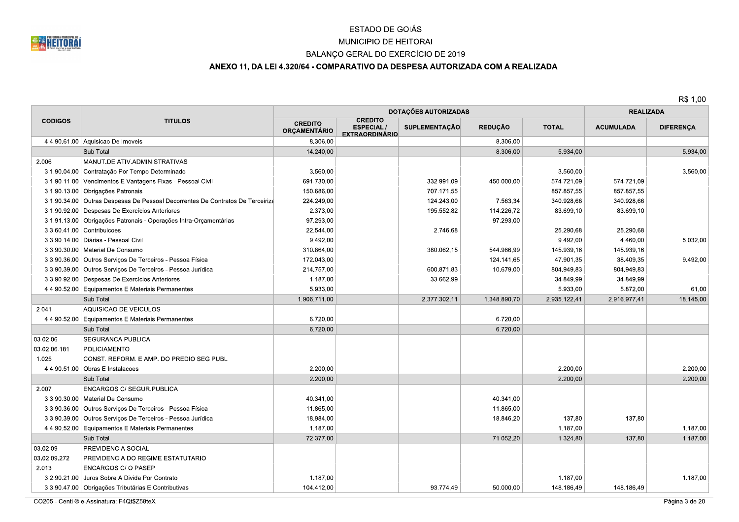

## MUNICIPIO DE HEITORAI

## BALANÇO GERAL DO EXERCÍCIO DE 2019

## ANEXO 11, DA LEI 4.320/64 - COMPARATIVO DA DESPESA AUTORIZADA COM A REALIZADA

|                |                                                                                |                                       |                                                             | DOTAÇÕES AUTORIZADAS |                |              | <b>REALIZADA</b> |                  |
|----------------|--------------------------------------------------------------------------------|---------------------------------------|-------------------------------------------------------------|----------------------|----------------|--------------|------------------|------------------|
| <b>CODIGOS</b> | <b>TITULOS</b>                                                                 | <b>CREDITO</b><br><b>ORÇAMENTÁRIO</b> | <b>CREDITO</b><br><b>ESPECIAL/</b><br><b>EXTRAORDINÁRIO</b> | <b>SUPLEMENTACÃO</b> | <b>REDUCÃO</b> | <b>TOTAL</b> | <b>ACUMULADA</b> | <b>DIFERENÇA</b> |
|                | 4.4.90.61.00 Aquisicao De Imoveis                                              | 8.306,00                              |                                                             |                      | 8.306,00       |              |                  |                  |
|                | Sub Total                                                                      | 14.240,00                             |                                                             |                      | 8.306,00       | 5.934,00     |                  | 5.934,00         |
| 2.006          | MANUT.DE ATIV.ADMINISTRATIVAS                                                  |                                       |                                                             |                      |                |              |                  |                  |
|                | 3.1.90.04.00 Contratação Por Tempo Determinado                                 | 3.560,00                              |                                                             |                      |                | 3.560,00     |                  | 3.560,00         |
|                | 3.1.90.11.00 Vencimentos E Vantagens Fixas - Pessoal Civil                     | 691.730,00                            |                                                             | 332.991,09           | 450.000.00     | 574.721,09   | 574.721.09       |                  |
|                | 3.1.90.13.00 Obrigações Patronais                                              | 150.686,00                            |                                                             | 707.171,55           |                | 857.857,55   | 857.857,55       |                  |
|                | 3.1.90.34.00 Outras Despesas De Pessoal Decorrentes De Contratos De Terceiriza | 224.249,00                            |                                                             | 124.243,00           | 7.563,34       | 340.928,66   | 340.928,66       |                  |
|                | 3.1.90.92.00 Despesas De Exercícios Anteriores                                 | 2.373,00                              |                                                             | 195.552,82           | 114.226,72     | 83.699,10    | 83.699,10        |                  |
|                | 3.1.91.13.00 Obrigações Patronais - Operações Intra-Orçamentárias              | 97.293,00                             |                                                             |                      | 97.293,00      |              |                  |                  |
|                | 3.3.60.41.00 Contribuicoes                                                     | 22.544,00                             |                                                             | 2.746,68             |                | 25.290,68    | 25.290,68        |                  |
|                | 3.3.90.14.00   Diárias - Pessoal Civil                                         | 9.492,00                              |                                                             |                      |                | 9.492,00     | 4.460,00         | 5.032,00         |
|                | 3.3.90.30.00   Material De Consumo                                             | 310.864,00                            |                                                             | 380.062,15           | 544.986,99     | 145.939,16   | 145.939,16       |                  |
|                | 3.3.90.36.00   Outros Servicos De Terceiros - Pessoa Física                    | 172.043,00                            |                                                             |                      | 124.141,65     | 47.901,35    | 38.409,35        | 9.492,00         |
|                | 3.3.90.39.00   Outros Serviços De Terceiros - Pessoa Jurídica                  | 214.757,00                            |                                                             | 600.871,83           | 10.679,00      | 804.949,83   | 804.949,83       |                  |
|                | 3.3.90.92.00 Despesas De Exercícios Anteriores                                 | 1.187,00                              |                                                             | 33.662,99            |                | 34.849,99    | 34.849,99        |                  |
|                | 4.4.90.52.00 Equipamentos E Materiais Permanentes                              | 5.933,00                              |                                                             |                      |                | 5.933,00     | 5.872,00         | 61.00            |
|                | Sub Total                                                                      | 1.906.711,00                          |                                                             | 2.377.302,11         | 1.348.890,70   | 2.935.122,41 | 2.916.977,41     | 18.145,00        |
| 2.041          | AQUISICAO DE VEICULOS.                                                         |                                       |                                                             |                      |                |              |                  |                  |
|                | 4.4.90.52.00 Equipamentos E Materiais Permanentes                              | 6.720.00                              |                                                             |                      | 6.720,00       |              |                  |                  |
|                | Sub Total                                                                      | 6.720,00                              |                                                             |                      | 6.720,00       |              |                  |                  |
| 03.02.06       | SEGURANCA PUBLICA                                                              |                                       |                                                             |                      |                |              |                  |                  |
| 03.02.06.181   | POLICIAMENTO                                                                   |                                       |                                                             |                      |                |              |                  |                  |
| 1.025          | CONST. REFORM. E AMP. DO PREDIO SEG PUBL                                       |                                       |                                                             |                      |                |              |                  |                  |
|                | 4.4.90.51.00 Obras E Instalacoes                                               | 2.200,00                              |                                                             |                      |                | 2.200,00     |                  | 2.200,00         |
|                | Sub Total                                                                      | 2.200,00                              |                                                             |                      |                | 2.200,00     |                  | 2.200,00         |
| 2.007          | <b>ENCARGOS C/ SEGUR PUBLICA</b>                                               |                                       |                                                             |                      |                |              |                  |                  |
|                | 3.3.90.30.00   Material De Consumo                                             | 40.341,00                             |                                                             |                      | 40.341,00      |              |                  |                  |
|                | 3.3.90.36.00 Outros Serviços De Terceiros - Pessoa Física                      | 11.865,00                             |                                                             |                      | 11.865,00      |              |                  |                  |
|                | 3.3.90.39.00 Outros Serviços De Terceiros - Pessoa Jurídica                    | 18.984,00                             |                                                             |                      | 18.846,20      | 137,80       | 137,80           |                  |
|                | 4.4.90.52.00 Equipamentos E Materiais Permanentes                              | 1.187,00                              |                                                             |                      |                | 1.187,00     |                  | 1.187,00         |
|                | Sub Total                                                                      | 72.377,00                             |                                                             |                      | 71.052,20      | 1.324,80     | 137,80           | 1.187,00         |
| 03.02.09       | PREVIDENCIA SOCIAL                                                             |                                       |                                                             |                      |                |              |                  |                  |
| 03.02.09.272   | PREVIDENCIA DO REGIME ESTATUTARIO                                              |                                       |                                                             |                      |                |              |                  |                  |
| 2.013          | <b>ENCARGOS C/ O PASEP</b>                                                     |                                       |                                                             |                      |                |              |                  |                  |
|                | 3.2.90.21.00 Juros Sobre A Divida Por Contrato                                 | 1.187,00                              |                                                             |                      |                | 1.187,00     |                  | 1.187,00         |
|                | 3.3.90.47.00 Obrigações Tributárias E Contributivas                            | 104.412,00                            |                                                             | 93.774.49            | 50.000,00      | 148.186,49   | 148.186,49       |                  |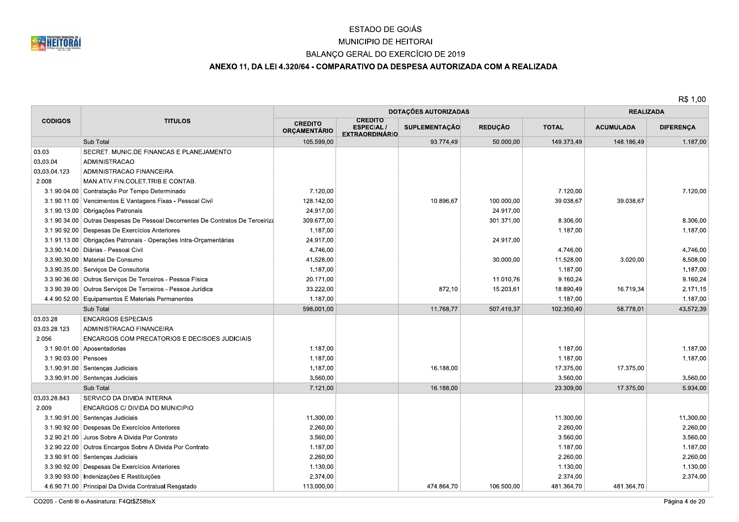

# MUNICIPIO DE HEITORAI

## BALANÇO GERAL DO EXERCÍCIO DE 2019

## ANEXO 11, DA LEI 4.320/64 - COMPARATIVO DA DESPESA AUTORIZADA COM A REALIZADA

|                      |                                                                                | DOTAÇÕES AUTORIZADAS                  |                                                             |                      |                |              | <b>REALIZADA</b> |                  |
|----------------------|--------------------------------------------------------------------------------|---------------------------------------|-------------------------------------------------------------|----------------------|----------------|--------------|------------------|------------------|
| <b>CODIGOS</b>       | <b>TITULOS</b>                                                                 | <b>CREDITO</b><br><b>ORCAMENTÁRIO</b> | <b>CREDITO</b><br><b>ESPECIAL/</b><br><b>EXTRAORDINÁRIO</b> | <b>SUPLEMENTAÇÃO</b> | <b>REDUÇÃO</b> | <b>TOTAL</b> | <b>ACUMULADA</b> | <b>DIFERENÇA</b> |
|                      | Sub Total                                                                      | 105.599,00                            |                                                             | 93.774,49            | 50.000.00      | 149.373.49   | 148.186.49       | 1.187,00         |
| 03.03                | SECRET. MUNIC.DE FINANCAS E PLANEJAMENTO                                       |                                       |                                                             |                      |                |              |                  |                  |
| 03.03.04             | <b>ADMINISTRACAO</b>                                                           |                                       |                                                             |                      |                |              |                  |                  |
| 03.03.04.123         | ADMINISTRACAO FINANCEIRA                                                       |                                       |                                                             |                      |                |              |                  |                  |
| 2.008                | MAN.ATIV.FIN.COLET.TRIB.E CONTAB.                                              |                                       |                                                             |                      |                |              |                  |                  |
|                      | 3.1.90.04.00 Contratação Por Tempo Determinado                                 | 7.120.00                              |                                                             |                      |                | 7.120.00     |                  | 7.120,00         |
|                      | 3.1.90.11.00 Vencimentos E Vantagens Fixas - Pessoal Civil                     | 128.142,00                            |                                                             | 10.896,67            | 100.000,00     | 39.038,67    | 39.038,67        |                  |
|                      | 3.1.90.13.00 Obrigações Patronais                                              | 24.917,00                             |                                                             |                      | 24.917,00      |              |                  |                  |
|                      | 3.1.90.34.00 Outras Despesas De Pessoal Decorrentes De Contratos De Terceiriza | 309.677,00                            |                                                             |                      | 301.371,00     | 8.306,00     |                  | 8.306,00         |
|                      | 3.1.90.92.00 Despesas De Exercícios Anteriores                                 | 1.187,00                              |                                                             |                      |                | 1.187,00     |                  | 1.187,00         |
|                      | 3.1.91.13.00 Obrigações Patronais - Operações Intra-Orçamentárias              | 24.917,00                             |                                                             |                      | 24.917,00      |              |                  |                  |
|                      | 3.3.90.14.00 Diárias - Pessoal Civil                                           | 4.746,00                              |                                                             |                      |                | 4.746,00     |                  | 4.746,00         |
|                      | 3.3.90.30.00   Material De Consumo                                             | 41.528,00                             |                                                             |                      | 30.000,00      | 11.528,00    | 3.020,00         | 8.508,00         |
|                      | 3.3.90.35.00 Servicos De Consultoria                                           | 1.187,00                              |                                                             |                      |                | 1.187.00     |                  | 1.187,00         |
|                      | 3.3.90.36.00   Outros Serviços De Terceiros - Pessoa Física                    | 20.171,00                             |                                                             |                      | 11.010,76      | 9.160,24     |                  | 9.160,24         |
|                      | 3.3.90.39.00 Outros Serviços De Terceiros - Pessoa Jurídica                    | 33.222,00                             |                                                             | 872,10               | 15.203,61      | 18.890,49    | 16.719.34        | 2.171,15         |
|                      | 4.4.90.52.00 Equipamentos E Materiais Permanentes                              | 1.187,00                              |                                                             |                      |                | 1.187,00     |                  | 1.187,00         |
|                      | Sub Total                                                                      | 598.001,00                            |                                                             | 11.768,77            | 507.419,37     | 102.350,40   | 58.778,01        | 43.572,39        |
| 03.03.28             | <b>ENCARGOS ESPECIAIS</b>                                                      |                                       |                                                             |                      |                |              |                  |                  |
| 03.03.28.123         | ADMINISTRACAO FINANCEIRA                                                       |                                       |                                                             |                      |                |              |                  |                  |
| 2.056                | ENCARGOS COM PRECATORIOS E DECISOES JUDICIAIS                                  |                                       |                                                             |                      |                |              |                  |                  |
|                      | 3.1.90.01.00 Aposentadorias                                                    | 1.187,00                              |                                                             |                      |                | 1.187,00     |                  | 1.187,00         |
| 3.1.90.03.00 Pensoes |                                                                                | 1.187,00                              |                                                             |                      |                | 1.187,00     |                  | 1.187,00         |
|                      | 3.1.90.91.00 Sentenças Judiciais                                               | 1.187,00                              |                                                             | 16.188,00            |                | 17.375,00    | 17.375,00        |                  |
|                      | 3.3.90.91.00 Sentenças Judiciais                                               | 3.560,00                              |                                                             |                      |                | 3.560,00     |                  | 3.560,00         |
|                      | Sub Total                                                                      | 7.121,00                              |                                                             | 16.188,00            |                | 23.309,00    | 17.375,00        | 5.934,00         |
| 03.03.28.843         | SERVICO DA DIVIDA INTERNA                                                      |                                       |                                                             |                      |                |              |                  |                  |
| 2.009                | ENCARGOS C/ DIVIDA DO MUNICIPIO                                                |                                       |                                                             |                      |                |              |                  |                  |
|                      | 3.1.90.91.00 Sentenças Judiciais                                               | 11.300,00                             |                                                             |                      |                | 11.300,00    |                  | 11.300,00        |
|                      | 3.1.90.92.00 Despesas De Exercícios Anteriores                                 | 2.260,00                              |                                                             |                      |                | 2.260,00     |                  | 2.260,00         |
|                      | 3.2.90.21.00 Juros Sobre A Divida Por Contrato                                 | 3.560,00                              |                                                             |                      |                | 3.560,00     |                  | 3.560,00         |
|                      | 3.2.90.22.00 Outros Encargos Sobre A Divida Por Contrato                       | 1.187,00                              |                                                             |                      |                | 1.187,00     |                  | 1.187,00         |
|                      | 3.3.90.91.00 Sentenças Judiciais                                               | 2.260,00                              |                                                             |                      |                | 2.260,00     |                  | 2.260,00         |
|                      | 3.3.90.92.00 Despesas De Exercícios Anteriores                                 | 1.130,00                              |                                                             |                      |                | 1.130,00     |                  | 1.130,00         |
|                      | 3.3.90.93.00   Indenizações E Restituições                                     | 2.374,00                              |                                                             |                      |                | 2.374,00     |                  | 2.374,00         |
|                      | 4.6.90.71.00 Principal Da Divida Contratual Resgatado                          | 113.000,00                            |                                                             | 474.864,70           | 106.500,00     | 481.364,70   | 481.364,70       |                  |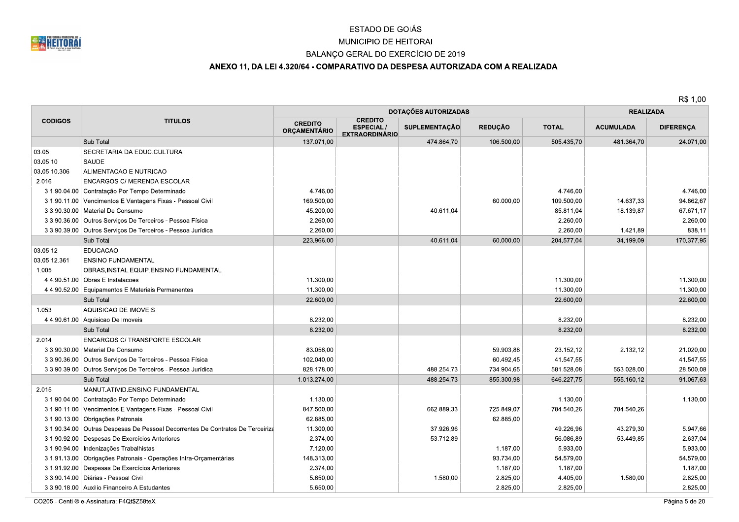

# MUNICIPIO DE HEITORAI

## BALANÇO GERAL DO EXERCÍCIO DE 2019

## ANEXO 11, DA LEI 4.320/64 - COMPARATIVO DA DESPESA AUTORIZADA COM A REALIZADA

R\$ 1,00

|                |                                                                                | <b>DOTAÇÕES AUTORIZADAS</b>           |                                                             |                      |                | <b>REALIZADA</b> |                  |                  |
|----------------|--------------------------------------------------------------------------------|---------------------------------------|-------------------------------------------------------------|----------------------|----------------|------------------|------------------|------------------|
| <b>CODIGOS</b> | <b>TITULOS</b>                                                                 | <b>CREDITO</b><br><b>ORÇAMENTÁRIO</b> | <b>CREDITO</b><br><b>ESPECIAL/</b><br><b>EXTRAORDINÁRIO</b> | <b>SUPLEMENTAÇÃO</b> | <b>REDUÇÃO</b> | <b>TOTAL</b>     | <b>ACUMULADA</b> | <b>DIFERENÇA</b> |
|                | Sub Total                                                                      | 137.071,00                            |                                                             | 474.864,70           | 106.500,00     | 505.435.70       | 481.364.70       | 24.071,00        |
| 03.05          | SECRETARIA DA EDUC.CULTURA                                                     |                                       |                                                             |                      |                |                  |                  |                  |
| 03.05.10       | SAUDE                                                                          |                                       |                                                             |                      |                |                  |                  |                  |
| 03.05.10.306   | ALIMENTACAO E NUTRICAO                                                         |                                       |                                                             |                      |                |                  |                  |                  |
| 2.016          | ENCARGOS C/ MERENDA ESCOLAR                                                    |                                       |                                                             |                      |                |                  |                  |                  |
|                | 3.1.90.04.00 Contratação Por Tempo Determinado                                 | 4.746.00                              |                                                             |                      |                | 4.746.00         |                  | 4.746,00         |
|                | 3.1.90.11.00 Vencimentos E Vantagens Fixas - Pessoal Civil                     | 169.500,00                            |                                                             |                      | 60.000,00      | 109.500,00       | 14.637,33        | 94.862,67        |
|                | 3.3.90.30.00   Material De Consumo                                             | 45.200,00                             |                                                             | 40.611,04            |                | 85.811,04        | 18.139,87        | 67.671,17        |
|                | 3.3.90.36.00 Outros Serviços De Terceiros - Pessoa Física                      | 2.260,00                              |                                                             |                      |                | 2.260,00         |                  | 2.260,00         |
|                | 3.3.90.39.00 Outros Serviços De Terceiros - Pessoa Jurídica                    | 2.260,00                              |                                                             |                      |                | 2.260,00         | 1.421,89         | 838,11           |
|                | Sub Total                                                                      | 223.966,00                            |                                                             | 40.611,04            | 60.000,00      | 204.577,04       | 34.199.09        | 170.377,95       |
| 03.05.12       | <b>EDUCACAO</b>                                                                |                                       |                                                             |                      |                |                  |                  |                  |
| 03.05.12.361   | <b>ENSINO FUNDAMENTAL</b>                                                      |                                       |                                                             |                      |                |                  |                  |                  |
| 1.005          | OBRAS, INSTAL.EQUIP.ENSINO FUNDAMENTAL                                         |                                       |                                                             |                      |                |                  |                  |                  |
|                | 4.4.90.51.00 Obras E Instalacoes                                               | 11.300,00                             |                                                             |                      |                | 11.300.00        |                  | 11.300,00        |
|                | 4.4.90.52.00 Equipamentos E Materiais Permanentes                              | 11.300,00                             |                                                             |                      |                | 11.300,00        |                  | 11.300,00        |
|                | Sub Total                                                                      | 22.600,00                             |                                                             |                      |                | 22.600,00        |                  | 22.600,00        |
| 1.053          | AQUISICAO DE IMOVEIS                                                           |                                       |                                                             |                      |                |                  |                  |                  |
|                | 4.4.90.61.00 Aquisicao De Imoveis                                              | 8.232,00                              |                                                             |                      |                | 8.232,00         |                  | 8.232,00         |
|                | Sub Total                                                                      | 8.232,00                              |                                                             |                      |                | 8.232,00         |                  | 8.232,00         |
| 2.014          | ENCARGOS C/ TRANSPORTE ESCOLAR                                                 |                                       |                                                             |                      |                |                  |                  |                  |
|                | 3.3.90.30.00   Material De Consumo                                             | 83.056,00                             |                                                             |                      | 59.903,88      | 23.152,12        | 2.132,12         | 21.020,00        |
|                | 3.3.90.36.00 Outros Serviços De Terceiros - Pessoa Física                      | 102.040,00                            |                                                             |                      | 60.492,45      | 41.547,55        |                  | 41.547,55        |
|                | 3.3.90.39.00 Outros Serviços De Terceiros - Pessoa Jurídica                    | 828.178.00                            |                                                             | 488.254,73           | 734.904,65     | 581.528,08       | 553.028,00       | 28.500,08        |
|                | Sub Total                                                                      | 1.013.274,00                          |                                                             | 488.254,73           | 855.300,98     | 646.227,75       | 555.160,12       | 91.067,63        |
| 2.015          | MANUT.ATIVID.ENSINO FUNDAMENTAL                                                |                                       |                                                             |                      |                |                  |                  |                  |
|                | 3.1.90.04.00 Contratação Por Tempo Determinado                                 | 1.130,00                              |                                                             |                      |                | 1.130.00         |                  | 1.130,00         |
|                | 3.1.90.11.00 Vencimentos E Vantagens Fixas - Pessoal Civil                     | 847.500,00                            |                                                             | 662.889,33           | 725.849,07     | 784.540,26       | 784.540,26       |                  |
|                | 3.1.90.13.00 Obrigações Patronais                                              | 62.885,00                             |                                                             |                      | 62.885,00      |                  |                  |                  |
|                | 3.1.90.34.00 Outras Despesas De Pessoal Decorrentes De Contratos De Terceiriza | 11.300,00                             |                                                             | 37.926,96            |                | 49.226,96        | 43.279,30        | 5.947,66         |
|                | 3.1.90.92.00 Despesas De Exercícios Anteriores                                 | 2.374,00                              |                                                             | 53.712,89            |                | 56.086,89        | 53.449,85        | 2.637,04         |
|                | 3.1.90.94.00   Indenizações Trabalhistas                                       | 7.120,00                              |                                                             |                      | 1.187,00       | 5.933,00         |                  | 5.933,00         |
|                | 3.1.91.13.00 Obrigações Patronais - Operações Intra-Orçamentárias              | 148.313,00                            |                                                             |                      | 93.734,00      | 54.579,00        |                  | 54.579,00        |
|                | 3.1.91.92.00 Despesas De Exercícios Anteriores                                 | 2.374,00                              |                                                             |                      | 1.187,00       | 1.187,00         |                  | 1.187,00         |
|                | 3.3.90.14.00   Diárias - Pessoal Civil                                         | 5.650,00                              |                                                             | 1.580,00             | 2.825,00       | 4.405,00         | 1.580,00         | 2.825,00         |
|                | 3.3.90.18.00 Auxilio Financeiro A Estudantes                                   | 5.650,00                              |                                                             |                      | 2.825,00       | 2.825,00         |                  | 2.825,00         |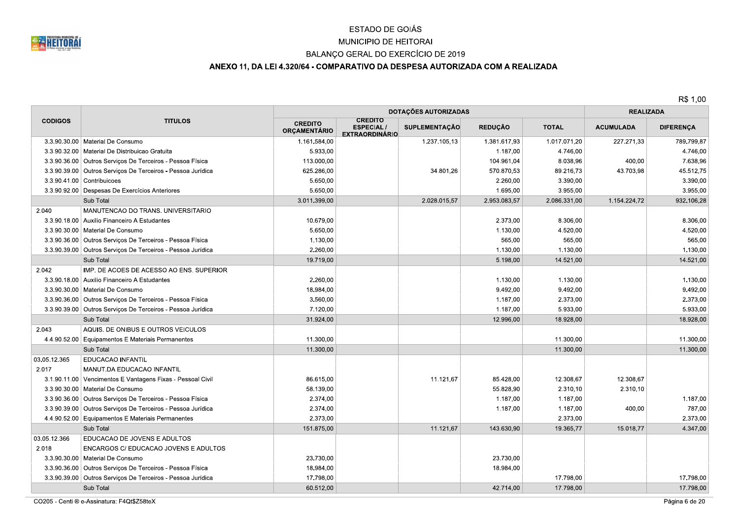

#### MUNICIPIO DE HEITORAI

## BALANÇO GERAL DO EXERCÍCIO DE 2019

## ANEXO 11, DA LEI 4.320/64 - COMPARATIVO DA DESPESA AUTORIZADA COM A REALIZADA

|                |                                                               | <b>DOTAÇÕES AUTORIZADAS</b>           |                                                             |               |                |              | <b>REALIZADA</b> |                  |  |
|----------------|---------------------------------------------------------------|---------------------------------------|-------------------------------------------------------------|---------------|----------------|--------------|------------------|------------------|--|
| <b>CODIGOS</b> | <b>TITULOS</b>                                                | <b>CREDITO</b><br><b>ORÇAMENTÁRIO</b> | <b>CREDITO</b><br><b>ESPECIAL/</b><br><b>EXTRAORDINÁRIO</b> | SUPLEMENTAÇÃO | <b>REDUÇÃO</b> | <b>TOTAL</b> | <b>ACUMULADA</b> | <b>DIFERENÇA</b> |  |
|                | 3.3.90.30.00 Material De Consumo                              | 1.161.584,00                          |                                                             | 1.237.105,13  | 1.381.617,93   | 1.017.071,20 | 227.271,33       | 789.799,87       |  |
|                | 3.3.90.32.00   Material De Distribuicao Gratuita              | 5.933,00                              |                                                             |               | 1.187,00       | 4.746.00     |                  | 4.746,00         |  |
|                | 3.3.90.36.00   Outros Serviços De Terceiros - Pessoa Física   | 113.000,00                            |                                                             |               | 104.961,04     | 8.038,96     | 400,00           | 7.638,96         |  |
|                | 3.3.90.39.00 Outros Serviços De Terceiros - Pessoa Jurídica   | 625.286,00                            |                                                             | 34.801,26     | 570.870,53     | 89.216,73    | 43.703,98        | 45.512,75        |  |
|                | 3.3.90.41.00 Contribuicoes                                    | 5.650,00                              |                                                             |               | 2.260,00       | 3.390,00     |                  | 3.390,00         |  |
|                | 3.3.90.92.00 Despesas De Exercícios Anteriores                | 5.650,00                              |                                                             |               | 1.695,00       | 3.955.00     |                  | 3.955.00         |  |
|                | Sub Total                                                     | 3.011.399,00                          |                                                             | 2.028.015,57  | 2.953.083,57   | 2.086.331,00 | 1.154.224.72     | 932.106,28       |  |
| 2.040          | MANUTENCAO DO TRANS. UNIVERSITARIO                            |                                       |                                                             |               |                |              |                  |                  |  |
|                | 3.3.90.18.00 Auxilio Financeiro A Estudantes                  | 10.679,00                             |                                                             |               | 2.373,00       | 8.306,00     |                  | 8.306,00         |  |
|                | 3.3.90.30.00   Material De Consumo                            | 5.650,00                              |                                                             |               | 1.130,00       | 4.520,00     |                  | 4.520,00         |  |
|                | 3.3.90.36.00 Outros Serviços De Terceiros - Pessoa Física     | 1.130,00                              |                                                             |               | 565,00         | 565,00       |                  | 565,00           |  |
|                | 3.3.90.39.00 Outros Serviços De Terceiros - Pessoa Jurídica   | 2.260,00                              |                                                             |               | 1.130,00       | 1.130,00     |                  | 1.130,00         |  |
|                | Sub Total                                                     | 19.719,00                             |                                                             |               | 5.198,00       | 14.521,00    |                  | 14.521,00        |  |
| 2.042          | IMP. DE ACOES DE ACESSO AO ENS. SUPERIOR                      |                                       |                                                             |               |                |              |                  |                  |  |
|                | 3.3.90.18.00 Auxilio Financeiro A Estudantes                  | 2.260,00                              |                                                             |               | 1.130,00       | 1.130,00     |                  | 1.130,00         |  |
|                | 3.3.90.30.00   Material De Consumo                            | 18.984,00                             |                                                             |               | 9.492,00       | 9.492,00     |                  | 9.492,00         |  |
|                | 3.3.90.36.00   Outros Servicos De Terceiros - Pessoa Física   | 3.560,00                              |                                                             |               | 1.187,00       | 2.373,00     |                  | 2.373,00         |  |
|                | 3.3.90.39.00 Outros Serviços De Terceiros - Pessoa Jurídica   | 7.120,00                              |                                                             |               | 1.187,00       | 5.933,00     |                  | 5.933,00         |  |
|                | Sub Total                                                     | 31.924,00                             |                                                             |               | 12.996,00      | 18.928,00    |                  | 18.928,00        |  |
| 2.043          | AQUIS. DE ONIBUS E OUTROS VEICULOS                            |                                       |                                                             |               |                |              |                  |                  |  |
|                | 4.4.90.52.00 Equipamentos E Materiais Permanentes             | 11.300,00                             |                                                             |               |                | 11.300,00    |                  | 11.300,00        |  |
|                | Sub Total                                                     | 11.300,00                             |                                                             |               |                | 11.300,00    |                  | 11.300,00        |  |
| 03.05.12.365   | EDUCACAO INFANTIL                                             |                                       |                                                             |               |                |              |                  |                  |  |
| 2.017          | MANUT.DA EDUCACAO INFANTIL                                    |                                       |                                                             |               |                |              |                  |                  |  |
|                | 3.1.90.11.00 Vencimentos E Vantagens Fixas - Pessoal Civil    | 86.615,00                             |                                                             | 11.121,67     | 85.428,00      | 12.308,67    | 12.308,67        |                  |  |
|                | 3.3.90.30.00   Material De Consumo                            | 58.139,00                             |                                                             |               | 55.828,90      | 2.310,10     | 2.310,10         |                  |  |
|                | 3.3.90.36.00 Outros Serviços De Terceiros - Pessoa Física     | 2.374,00                              |                                                             |               | 1.187,00       | 1.187,00     |                  | 1.187,00         |  |
|                | 3.3.90.39.00   Outros Serviços De Terceiros - Pessoa Jurídica | 2.374,00                              |                                                             |               | 1.187,00       | 1.187,00     | 400,00           | 787,00           |  |
|                | 4.4.90.52.00 Equipamentos E Materiais Permanentes             | 2.373,00                              |                                                             |               |                | 2.373,00     |                  | 2.373,00         |  |
|                | Sub Total                                                     | 151.875,00                            |                                                             | 11.121,67     | 143.630,90     | 19.365,77    | 15.018,77        | 4.347,00         |  |
| 03.05.12.366   | EDUCACAO DE JOVENS E ADULTOS                                  |                                       |                                                             |               |                |              |                  |                  |  |
| 2.018          | ENCARGOS C/ EDUCACAO JOVENS E ADULTOS                         |                                       |                                                             |               |                |              |                  |                  |  |
|                | 3.3.90.30.00   Material De Consumo                            | 23.730,00                             |                                                             |               | 23.730,00      |              |                  |                  |  |
|                | 3.3.90.36.00   Outros Serviços De Terceiros - Pessoa Física   | 18.984,00                             |                                                             |               | 18.984,00      |              |                  |                  |  |
|                | 3.3.90.39.00 Outros Serviços De Terceiros - Pessoa Jurídica   | 17.798,00                             |                                                             |               |                | 17.798,00    |                  | 17.798,00        |  |
|                | Sub Total                                                     | 60.512,00                             |                                                             |               | 42.714,00      | 17.798,00    |                  | 17.798,00        |  |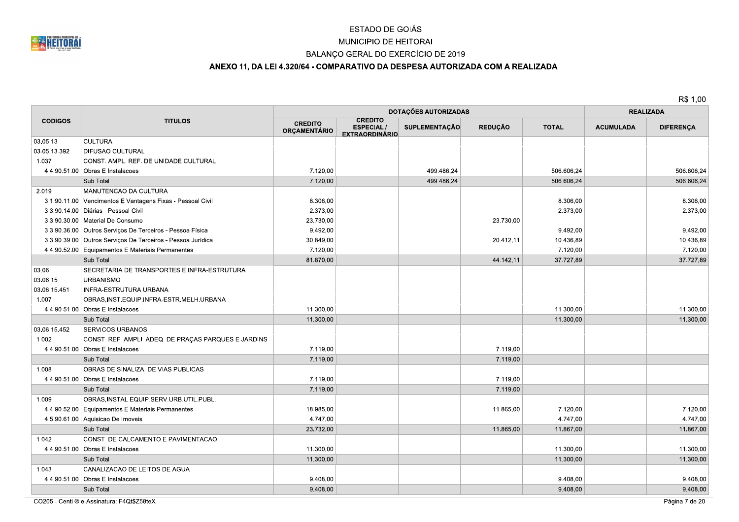

## MUNICIPIO DE HEITORAI

## BALANÇO GERAL DO EXERCÍCIO DE 2019

## ANEXO 11, DA LEI 4.320/64 - COMPARATIVO DA DESPESA AUTORIZADA COM A REALIZADA

R\$ 1,00

|                |                                                             | DOTAÇÕES AUTORIZADAS           |                                                             |                      |                | <b>REALIZADA</b> |                  |                  |
|----------------|-------------------------------------------------------------|--------------------------------|-------------------------------------------------------------|----------------------|----------------|------------------|------------------|------------------|
| <b>CODIGOS</b> | <b>TITULOS</b>                                              | <b>CREDITO</b><br>ORÇAMENTÁRIO | <b>CREDITO</b><br><b>ESPECIAL/</b><br><b>EXTRAORDINÁRIO</b> | <b>SUPLEMENTAÇÃO</b> | <b>REDUÇÃO</b> | <b>TOTAL</b>     | <b>ACUMULADA</b> | <b>DIFERENÇA</b> |
| 03.05.13       | <b>CULTURA</b>                                              |                                |                                                             |                      |                |                  |                  |                  |
| 03.05.13.392   | <b>DIFUSAO CULTURAL</b>                                     |                                |                                                             |                      |                |                  |                  |                  |
| 1.037          | CONST. AMPL. REF. DE UNIDADE CULTURAL                       |                                |                                                             |                      |                |                  |                  |                  |
|                | 4.4.90.51.00 Obras E Instalacoes                            | 7.120,00                       |                                                             | 499.486,24           |                | 506.606,24       |                  | 506.606,24       |
|                | Sub Total                                                   | 7.120,00                       |                                                             | 499.486,24           |                | 506.606.24       |                  | 506.606.24       |
| 2.019          | MANUTENCAO DA CULTURA                                       |                                |                                                             |                      |                |                  |                  |                  |
|                | 3.1.90.11.00 Vencimentos E Vantagens Fixas - Pessoal Civil  | 8.306,00                       |                                                             |                      |                | 8.306,00         |                  | 8.306,00         |
|                | 3.3.90.14.00 Diárias - Pessoal Civil                        | 2.373,00                       |                                                             |                      |                | 2.373,00         |                  | 2.373,00         |
|                | 3.3.90.30.00   Material De Consumo                          | 23.730,00                      |                                                             |                      | 23.730,00      |                  |                  |                  |
|                | 3.3.90.36.00 Outros Serviços De Terceiros - Pessoa Física   | 9.492,00                       |                                                             |                      |                | 9.492,00         |                  | 9.492,00         |
|                | 3.3.90.39.00 Outros Serviços De Terceiros - Pessoa Jurídica | 30.849,00                      |                                                             |                      | 20.412,11      | 10.436,89        |                  | 10.436,89        |
|                | 4.4.90.52.00 Equipamentos E Materiais Permanentes           | 7.120,00                       |                                                             |                      |                | 7.120,00         |                  | 7.120,00         |
|                | Sub Total                                                   | 81.870,00                      |                                                             |                      | 44.142,11      | 37.727,89        |                  | 37.727,89        |
| 03.06          | SECRETARIA DE TRANSPORTES E INFRA-ESTRUTURA                 |                                |                                                             |                      |                |                  |                  |                  |
| 03.06.15       | <b>URBANISMO</b>                                            |                                |                                                             |                      |                |                  |                  |                  |
| 03.06.15.451   | <b>INFRA-ESTRUTURA URBANA</b>                               |                                |                                                             |                      |                |                  |                  |                  |
| 1.007          | OBRAS, INST. EQUIP. INFRA-ESTR. MELH. URBANA                |                                |                                                             |                      |                |                  |                  |                  |
|                | 4.4.90.51.00 Obras E Instalacoes                            | 11.300.00                      |                                                             |                      |                | 11.300,00        |                  | 11.300,00        |
|                | Sub Total                                                   | 11.300,00                      |                                                             |                      |                | 11.300,00        |                  | 11.300,00        |
| 03.06.15.452   | <b>SERVICOS URBANOS</b>                                     |                                |                                                             |                      |                |                  |                  |                  |
| 1.002          | CONST. REF. AMPLI. ADEQ. DE PRAÇAS PARQUES E JARDINS        |                                |                                                             |                      |                |                  |                  |                  |
|                | 4.4.90.51.00 Obras E Instalacoes                            | 7.119,00                       |                                                             |                      | 7.119,00       |                  |                  |                  |
|                | Sub Total                                                   | 7.119,00                       |                                                             |                      | 7.119,00       |                  |                  |                  |
| 1.008          | OBRAS DE SINALIZA. DE VIAS PUBLICAS                         |                                |                                                             |                      |                |                  |                  |                  |
|                | 4.4.90.51.00 Obras E Instalacoes                            | 7.119,00                       |                                                             |                      | 7.119,00       |                  |                  |                  |
|                | Sub Total                                                   | 7.119,00                       |                                                             |                      | 7.119,00       |                  |                  |                  |
| 1.009          | OBRAS, INSTAL.EQUIP.SERV.URB.UTIL.PUBL.                     |                                |                                                             |                      |                |                  |                  |                  |
|                | 4.4.90.52.00 Equipamentos E Materiais Permanentes           | 18.985,00                      |                                                             |                      | 11.865,00      | 7.120,00         |                  | 7.120,00         |
|                | 4.5.90.61.00 Aquisicao De Imoveis                           | 4.747,00                       |                                                             |                      |                | 4.747,00         |                  | 4.747,00         |
|                | Sub Total                                                   | 23.732,00                      |                                                             |                      | 11.865,00      | 11.867,00        |                  | 11.867,00        |
| 1.042          | CONST. DE CALCAMENTO E PAVIMENTACAO.                        |                                |                                                             |                      |                |                  |                  |                  |
|                | 4.4.90.51.00 Obras E Instalacoes                            | 11.300,00                      |                                                             |                      |                | 11.300,00        |                  | 11.300,00        |
|                | Sub Total                                                   | 11.300,00                      |                                                             |                      |                | 11.300,00        |                  | 11.300,00        |
| 1.043          | CANALIZACAO DE LEITOS DE AGUA                               |                                |                                                             |                      |                |                  |                  |                  |
|                | 4.4.90.51.00 Obras E Instalacoes                            | 9.408,00                       |                                                             |                      |                | 9.408,00         |                  | 9.408,00         |
|                | Sub Total                                                   | 9.408,00                       |                                                             |                      |                | 9.408,00         |                  | 9.408,00         |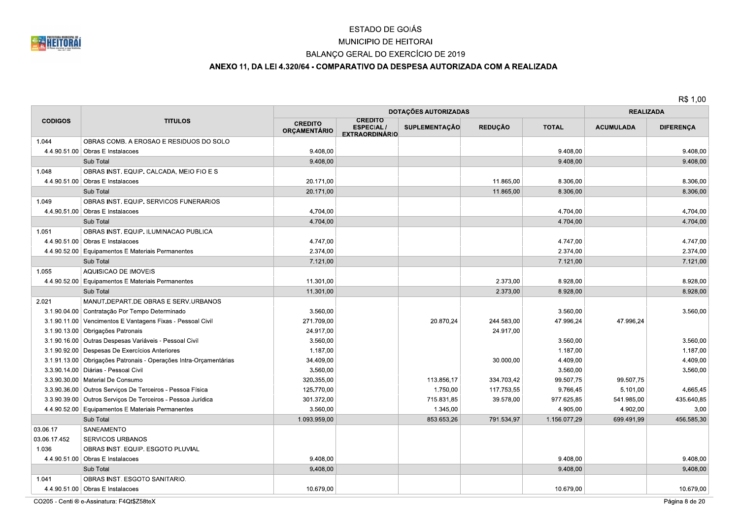

## MUNICIPIO DE HEITORAI

## BALANÇO GERAL DO EXERCÍCIO DE 2019

## ANEXO 11, DA LEI 4.320/64 - COMPARATIVO DA DESPESA AUTORIZADA COM A REALIZADA

R\$ 1,00

|                |                                                                   |                                       | <b>DOTAÇÕES AUTORIZADAS</b>                                 |                      | <b>REALIZADA</b> |              |                  |                  |
|----------------|-------------------------------------------------------------------|---------------------------------------|-------------------------------------------------------------|----------------------|------------------|--------------|------------------|------------------|
| <b>CODIGOS</b> | <b>TITULOS</b>                                                    | <b>CREDITO</b><br><b>ORÇAMENTÁRIO</b> | <b>CREDITO</b><br><b>ESPECIAL/</b><br><b>EXTRAORDINÁRIO</b> | <b>SUPLEMENTAÇÃO</b> | <b>REDUÇÃO</b>   | <b>TOTAL</b> | <b>ACUMULADA</b> | <b>DIFERENÇA</b> |
| 1.044          | OBRAS COMB. A EROSAO E RESIDUOS DO SOLO                           |                                       |                                                             |                      |                  |              |                  |                  |
|                | 4.4.90.51.00 Obras E Instalacoes                                  | 9.408,00                              |                                                             |                      |                  | 9.408,00     |                  | 9.408,00         |
|                | Sub Total                                                         | 9.408,00                              |                                                             |                      |                  | 9.408,00     |                  | 9.408,00         |
| 1.048          | OBRAS INST. EQUIP. CALCADA, MEIO FIO E S                          |                                       |                                                             |                      |                  |              |                  |                  |
|                | 4.4.90.51.00 Obras E Instalacoes                                  | 20.171,00                             |                                                             |                      | 11.865,00        | 8.306,00     |                  | 8.306,00         |
|                | Sub Total                                                         | 20.171,00                             |                                                             |                      | 11.865,00        | 8.306,00     |                  | 8.306,00         |
| 1.049          | OBRAS INST. EQUIP. SERVICOS FUNERARIOS                            |                                       |                                                             |                      |                  |              |                  |                  |
|                | 4.4.90.51.00 Obras E Instalacoes                                  | 4.704,00                              |                                                             |                      |                  | 4.704.00     |                  | 4.704,00         |
|                | Sub Total                                                         | 4.704,00                              |                                                             |                      |                  | 4.704,00     |                  | 4.704,00         |
| 1.051          | OBRAS INST. EQUIP. ILUMINACAO PUBLICA                             |                                       |                                                             |                      |                  |              |                  |                  |
|                | 4.4.90.51.00 Obras E Instalacoes                                  | 4.747,00                              |                                                             |                      |                  | 4.747,00     |                  | 4.747,00         |
|                | 4.4.90.52.00 Equipamentos E Materiais Permanentes                 | 2.374,00                              |                                                             |                      |                  | 2.374,00     |                  | 2.374,00         |
|                | Sub Total                                                         | 7.121,00                              |                                                             |                      |                  | 7.121,00     |                  | 7.121,00         |
| 1.055          | AQUISICAO DE IMOVEIS                                              |                                       |                                                             |                      |                  |              |                  |                  |
|                | 4.4.90.52.00 Equipamentos E Materiais Permanentes                 | 11.301,00                             |                                                             |                      | 2.373,00         | 8.928,00     |                  | 8.928,00         |
|                | Sub Total                                                         | 11.301,00                             |                                                             |                      | 2.373,00         | 8.928,00     |                  | 8.928,00         |
| 2.021          | MANUT.DEPART.DE OBRAS E SERV.URBANOS                              |                                       |                                                             |                      |                  |              |                  |                  |
|                | 3.1.90.04.00 Contratação Por Tempo Determinado                    | 3.560,00                              |                                                             |                      |                  | 3.560,00     |                  | 3.560,00         |
|                | 3.1.90.11.00 Vencimentos E Vantagens Fixas - Pessoal Civil        | 271.709.00                            |                                                             | 20.870.24            | 244.583.00       | 47.996.24    | 47.996.24        |                  |
|                | 3.1.90.13.00 Obrigações Patronais                                 | 24.917,00                             |                                                             |                      | 24.917,00        |              |                  |                  |
|                | 3.1.90.16.00 Outras Despesas Variáveis - Pessoal Civil            | 3.560,00                              |                                                             |                      |                  | 3.560,00     |                  | 3.560,00         |
|                | 3.1.90.92.00 Despesas De Exercícios Anteriores                    | 1.187,00                              |                                                             |                      |                  | 1.187,00     |                  | 1.187,00         |
|                | 3.1.91.13.00 Obrigações Patronais - Operações Intra-Orçamentárias | 34.409,00                             |                                                             |                      | 30.000,00        | 4.409,00     |                  | 4.409,00         |
|                | 3.3.90.14.00   Diárias - Pessoal Civil                            | 3.560,00                              |                                                             |                      |                  | 3.560,00     |                  | 3.560,00         |
|                | 3.3.90.30.00   Material De Consumo                                | 320.355,00                            |                                                             | 113.856,17           | 334.703,42       | 99.507,75    | 99.507,75        |                  |
|                | 3.3.90.36.00 Outros Serviços De Terceiros - Pessoa Física         | 125.770,00                            |                                                             | 1.750,00             | 117.753,55       | 9.766,45     | 5.101,00         | 4.665,45         |
|                | 3.3.90.39.00 Outros Serviços De Terceiros - Pessoa Jurídica       | 301.372,00                            |                                                             | 715.831,85           | 39.578,00        | 977.625,85   | 541.985,00       | 435.640,85       |
|                | 4.4.90.52.00 Equipamentos E Materiais Permanentes                 | 3.560,00                              |                                                             | 1.345,00             |                  | 4.905,00     | 4.902,00         | 3.00             |
|                | Sub Total                                                         | 1.093.959,00                          |                                                             | 853.653,26           | 791.534,97       | 1.156.077,29 | 699.491,99       | 456.585,30       |
| 03.06.17       | SANEAMENTO                                                        |                                       |                                                             |                      |                  |              |                  |                  |
| 03.06.17.452   | <b>SERVICOS URBANOS</b>                                           |                                       |                                                             |                      |                  |              |                  |                  |
| 1.036          | OBRAS INST. EQUIP. ESGOTO PLUVIAL                                 |                                       |                                                             |                      |                  |              |                  |                  |
|                | 4.4.90.51.00 Obras E Instalacoes                                  | 9.408.00                              |                                                             |                      |                  | 9.408.00     |                  | 9.408,00         |
|                | Sub Total                                                         | 9.408,00                              |                                                             |                      |                  | 9.408,00     |                  | 9.408,00         |
| 1.041          | OBRAS INST. ESGOTO SANITARIO.                                     |                                       |                                                             |                      |                  |              |                  |                  |
|                | 4.4.90.51.00 Obras E Instalacoes                                  | 10.679,00                             |                                                             |                      |                  | 10.679,00    |                  | 10.679,00        |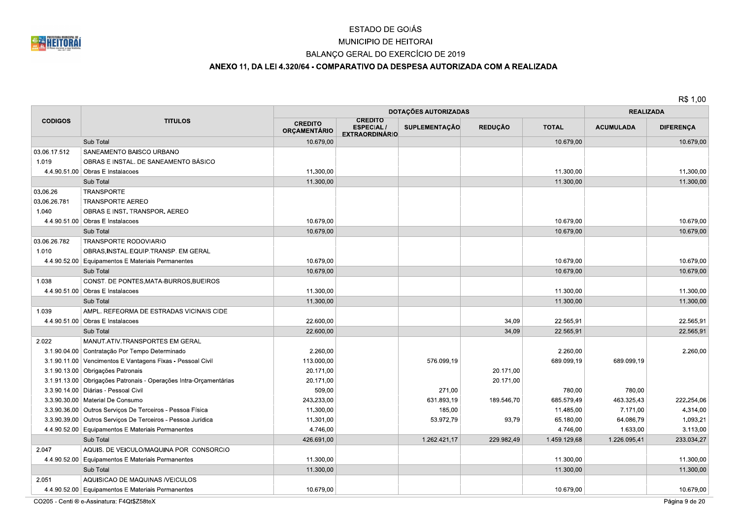

## MUNICIPIO DE HEITORAI

## BALANÇO GERAL DO EXERCÍCIO DE 2019

## ANEXO 11, DA LEI 4.320/64 - COMPARATIVO DA DESPESA AUTORIZADA COM A REALIZADA

R\$ 1,00

|                |                                                                   |                                       |                                                             | <b>DOTAÇÕES AUTORIZADAS</b> |                |              | <b>REALIZADA</b> |                  |
|----------------|-------------------------------------------------------------------|---------------------------------------|-------------------------------------------------------------|-----------------------------|----------------|--------------|------------------|------------------|
| <b>CODIGOS</b> | <b>TITULOS</b>                                                    | <b>CREDITO</b><br><b>ORÇAMENTÁRIO</b> | <b>CREDITO</b><br><b>ESPECIAL/</b><br><b>EXTRAORDINÁRIO</b> | SUPLEMENTAÇÃO               | <b>REDUÇÃO</b> | <b>TOTAL</b> | <b>ACUMULADA</b> | <b>DIFERENÇA</b> |
|                | Sub Total                                                         | 10.679,00                             |                                                             |                             |                | 10.679,00    |                  | 10.679,00        |
| 03.06.17.512   | SANEAMENTO BAISCO URBANO                                          |                                       |                                                             |                             |                |              |                  |                  |
| 1.019          | OBRAS E INSTAL. DE SANEAMENTO BÁSICO                              |                                       |                                                             |                             |                |              |                  |                  |
|                | 4.4.90.51.00 Obras E Instalacoes                                  | 11.300,00                             |                                                             |                             |                | 11.300,00    |                  | 11.300,00        |
|                | Sub Total                                                         | 11.300,00                             |                                                             |                             |                | 11.300,00    |                  | 11.300,00        |
| 03.06.26       | <b>TRANSPORTE</b>                                                 |                                       |                                                             |                             |                |              |                  |                  |
| 03.06.26.781   | <b>TRANSPORTE AEREO</b>                                           |                                       |                                                             |                             |                |              |                  |                  |
| 1.040          | OBRAS E INST. TRANSPOR. AEREO                                     |                                       |                                                             |                             |                |              |                  |                  |
|                | 4.4.90.51.00 Obras E Instalacoes                                  | 10.679,00                             |                                                             |                             |                | 10.679,00    |                  | 10.679,00        |
|                | Sub Total                                                         | 10.679,00                             |                                                             |                             |                | 10.679,00    |                  | 10.679,00        |
| 03.06.26.782   | <b>TRANSPORTE RODOVIARIO</b>                                      |                                       |                                                             |                             |                |              |                  |                  |
| 1.010          | OBRAS, INSTAL.EQUIP.TRANSP. EM GERAL                              |                                       |                                                             |                             |                |              |                  |                  |
|                | 4.4.90.52.00 Equipamentos E Materiais Permanentes                 | 10.679,00                             |                                                             |                             |                | 10.679,00    |                  | 10.679,00        |
|                | Sub Total                                                         | 10.679,00                             |                                                             |                             |                | 10.679,00    |                  | 10.679,00        |
| 1.038          | CONST. DE PONTES, MATA-BURROS, BUEIROS                            |                                       |                                                             |                             |                |              |                  |                  |
|                | 4.4.90.51.00 Obras E Instalacoes                                  | 11.300,00                             |                                                             |                             |                | 11.300,00    |                  | 11.300,00        |
|                | Sub Total                                                         | 11.300,00                             |                                                             |                             |                | 11.300,00    |                  | 11.300,00        |
| 1.039          | AMPL. REFEORMA DE ESTRADAS VICINAIS CIDE                          |                                       |                                                             |                             |                |              |                  |                  |
|                | $4.4.90.51.00$ Obras E Instalacoes                                | 22.600.00                             |                                                             |                             | 34,09          | 22.565.91    |                  | 22.565.91        |
|                | Sub Total                                                         | 22.600,00                             |                                                             |                             | 34,09          | 22.565,91    |                  | 22.565,91        |
| 2.022          | MANUT.ATIV.TRANSPORTES EM GERAL                                   |                                       |                                                             |                             |                |              |                  |                  |
|                | 3.1.90.04.00 Contratação Por Tempo Determinado                    | 2.260,00                              |                                                             |                             |                | 2.260,00     |                  | 2.260,00         |
|                | 3.1.90.11.00 Vencimentos E Vantagens Fixas - Pessoal Civil        | 113.000,00                            |                                                             | 576.099,19                  |                | 689.099,19   | 689.099,19       |                  |
|                | 3.1.90.13.00 Obrigações Patronais                                 | 20.171.00                             |                                                             |                             | 20.171.00      |              |                  |                  |
|                | 3.1.91.13.00 Obrigações Patronais - Operações Intra-Orçamentárias | 20.171,00                             |                                                             |                             | 20.171,00      |              |                  |                  |
|                | 3.3.90.14.00   Diárias - Pessoal Civil                            | 509,00                                |                                                             | 271,00                      |                | 780,00       | 780,00           |                  |
|                | 3.3.90.30.00   Material De Consumo                                | 243.233,00                            |                                                             | 631.893,19                  | 189.546,70     | 685.579,49   | 463.325,43       | 222.254,06       |
|                | 3.3.90.36.00   Outros Serviços De Terceiros - Pessoa Física       | 11.300,00                             |                                                             | 185,00                      |                | 11.485,00    | 7.171.00         | 4.314,00         |
|                | 3.3.90.39.00 Outros Serviços De Terceiros - Pessoa Jurídica       | 11.301,00                             |                                                             | 53.972,79                   | 93,79          | 65.180,00    | 64.086,79        | 1.093,21         |
|                | 4.4.90.52.00 Equipamentos E Materiais Permanentes                 | 4.746,00                              |                                                             |                             |                | 4.746,00     | 1.633,00         | 3.113,00         |
|                | Sub Total                                                         | 426.691,00                            |                                                             | 1.262.421.17                | 229.982,49     | 1.459.129,68 | 1.226.095,41     | 233.034,27       |
| 2.047          | AQUIS. DE VEICULO/MAQUINA POR CONSORCIO                           |                                       |                                                             |                             |                |              |                  |                  |
|                | 4.4.90.52.00 Equipamentos E Materiais Permanentes                 | 11.300,00                             |                                                             |                             |                | 11.300.00    |                  | 11.300.00        |
|                | Sub Total                                                         | 11.300,00                             |                                                             |                             |                | 11.300,00    |                  | 11.300,00        |
| 2.051          | AQUISICAO DE MAQUINAS /VEICULOS                                   |                                       |                                                             |                             |                |              |                  |                  |
|                | 4.4.90.52.00 Equipamentos E Materiais Permanentes                 | 10.679,00                             |                                                             |                             |                | 10.679,00    |                  | 10.679,00        |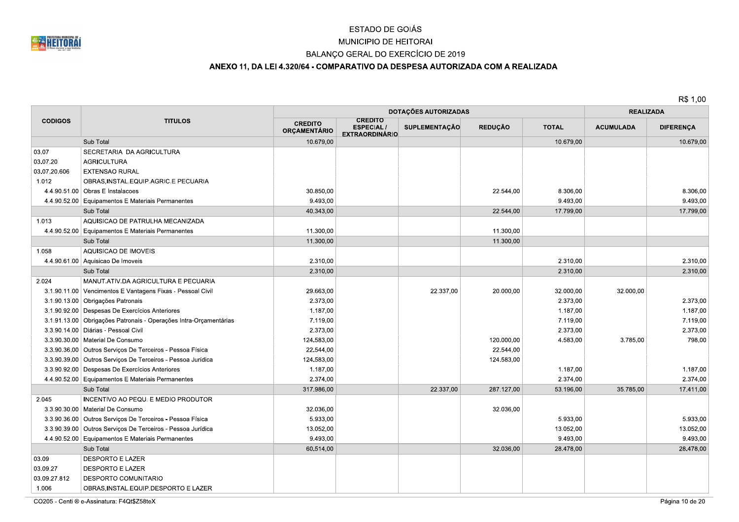

## MUNICIPIO DE HEITORAI

## BALANÇO GERAL DO EXERCÍCIO DE 2019

## ANEXO 11, DA LEI 4.320/64 - COMPARATIVO DA DESPESA AUTORIZADA COM A REALIZADA

|                |                                                                   |                                       |                                                             | <b>DOTAÇÕES AUTORIZADAS</b> | <b>REALIZADA</b> |              |                  |                  |  |
|----------------|-------------------------------------------------------------------|---------------------------------------|-------------------------------------------------------------|-----------------------------|------------------|--------------|------------------|------------------|--|
| <b>CODIGOS</b> | <b>TITULOS</b>                                                    | <b>CREDITO</b><br><b>ORÇAMENTÁRIO</b> | <b>CREDITO</b><br><b>ESPECIAL/</b><br><b>EXTRAORDINÁRIO</b> | <b>SUPLEMENTAÇÃO</b>        | <b>REDUÇÃO</b>   | <b>TOTAL</b> | <b>ACUMULADA</b> | <b>DIFERENÇA</b> |  |
|                | Sub Total                                                         | 10.679,00                             |                                                             |                             |                  | 10.679,00    |                  | 10.679,00        |  |
| 03.07          | SECRETARIA DA AGRICULTURA                                         |                                       |                                                             |                             |                  |              |                  |                  |  |
| 03.07.20       | <b>AGRICULTURA</b>                                                |                                       |                                                             |                             |                  |              |                  |                  |  |
| 03.07.20.606   | <b>EXTENSAO RURAL</b>                                             |                                       |                                                             |                             |                  |              |                  |                  |  |
| 1.012          | OBRAS, INSTAL.EQUIP.AGRIC.E PECUARIA                              |                                       |                                                             |                             |                  |              |                  |                  |  |
|                | 4.4.90.51.00 Obras E Instalacoes                                  | 30.850,00                             |                                                             |                             | 22.544,00        | 8.306,00     |                  | 8.306,00         |  |
|                | 4.4.90.52.00 Equipamentos E Materiais Permanentes                 | 9.493.00                              |                                                             |                             |                  | 9.493,00     |                  | 9.493.00         |  |
|                | Sub Total                                                         | 40.343,00                             |                                                             |                             | 22.544,00        | 17.799,00    |                  | 17.799,00        |  |
| 1.013          | AQUISICAO DE PATRULHA MECANIZADA                                  |                                       |                                                             |                             |                  |              |                  |                  |  |
|                | 4.4.90.52.00 Equipamentos E Materiais Permanentes                 | 11.300,00                             |                                                             |                             | 11.300,00        |              |                  |                  |  |
|                | Sub Total                                                         | 11.300,00                             |                                                             |                             | 11.300,00        |              |                  |                  |  |
| 1.058          | AQUISICAO DE IMOVEIS                                              |                                       |                                                             |                             |                  |              |                  |                  |  |
|                | 4.4.90.61.00 Aquisicao De Imoveis                                 | 2.310,00                              |                                                             |                             |                  | 2.310.00     |                  | 2.310.00         |  |
|                | Sub Total                                                         | 2.310,00                              |                                                             |                             |                  | 2.310,00     |                  | 2.310,00         |  |
| 2.024          | MANUT.ATIV.DA AGRICULTURA E PECUARIA                              |                                       |                                                             |                             |                  |              |                  |                  |  |
|                | 3.1.90.11.00 Vencimentos E Vantagens Fixas - Pessoal Civil        | 29.663,00                             |                                                             | 22.337,00                   | 20.000,00        | 32.000,00    | 32.000,00        |                  |  |
|                | 3.1.90.13.00 Obrigações Patronais                                 | 2.373,00                              |                                                             |                             |                  | 2.373,00     |                  | 2.373,00         |  |
|                | 3.1.90.92.00 Despesas De Exercícios Anteriores                    | 1.187,00                              |                                                             |                             |                  | 1.187,00     |                  | 1.187,00         |  |
|                | 3.1.91.13.00 Obrigações Patronais - Operações Intra-Orçamentárias | 7.119,00                              |                                                             |                             |                  | 7.119,00     |                  | 7.119,00         |  |
|                | 3.3.90.14.00   Diárias - Pessoal Civil                            | 2.373,00                              |                                                             |                             |                  | 2.373,00     |                  | 2.373,00         |  |
|                | 3.3.90.30.00   Material De Consumo                                | 124.583,00                            |                                                             |                             | 120.000,00       | 4.583,00     | 3.785,00         | 798,00           |  |
|                | 3.3.90.36.00 Outros Serviços De Terceiros - Pessoa Física         | 22.544,00                             |                                                             |                             | 22.544,00        |              |                  |                  |  |
|                | 3.3.90.39.00 Outros Serviços De Terceiros - Pessoa Jurídica       | 124.583,00                            |                                                             |                             | 124.583,00       |              |                  |                  |  |
|                | 3.3.90.92.00 Despesas De Exercícios Anteriores                    | 1.187,00                              |                                                             |                             |                  | 1.187,00     |                  | 1.187,00         |  |
|                | 4.4.90.52.00 Equipamentos E Materiais Permanentes                 | 2.374,00                              |                                                             |                             |                  | 2.374,00     |                  | 2.374,00         |  |
|                | Sub Total                                                         | 317.986,00                            |                                                             | 22.337,00                   | 287.127,00       | 53.196,00    | 35.785,00        | 17.411,00        |  |
| 2.045          | INCENTIVO AO PEQU. E MEDIO PRODUTOR                               |                                       |                                                             |                             |                  |              |                  |                  |  |
|                | 3.3.90.30.00 Material De Consumo                                  | 32.036,00                             |                                                             |                             | 32.036,00        |              |                  |                  |  |
|                | 3.3.90.36.00 Outros Serviços De Terceiros - Pessoa Física         | 5.933,00                              |                                                             |                             |                  | 5.933,00     |                  | 5.933,00         |  |
|                | 3.3.90.39.00 Outros Serviços De Terceiros - Pessoa Jurídica       | 13.052,00                             |                                                             |                             |                  | 13.052,00    |                  | 13.052,00        |  |
|                | 4.4.90.52.00 Equipamentos E Materiais Permanentes                 | 9.493,00                              |                                                             |                             |                  | 9.493,00     |                  | 9.493,00         |  |
|                | Sub Total                                                         | 60.514,00                             |                                                             |                             | 32.036.00        | 28.478,00    |                  | 28.478,00        |  |
| 03.09          | <b>DESPORTO E LAZER</b>                                           |                                       |                                                             |                             |                  |              |                  |                  |  |
| 03.09.27       | <b>DESPORTO E LAZER</b>                                           |                                       |                                                             |                             |                  |              |                  |                  |  |
| 03.09.27.812   | DESPORTO COMUNITARIO                                              |                                       |                                                             |                             |                  |              |                  |                  |  |
| 1.006          | OBRAS, INSTAL. EQUIP. DESPORTO E LAZER                            |                                       |                                                             |                             |                  |              |                  |                  |  |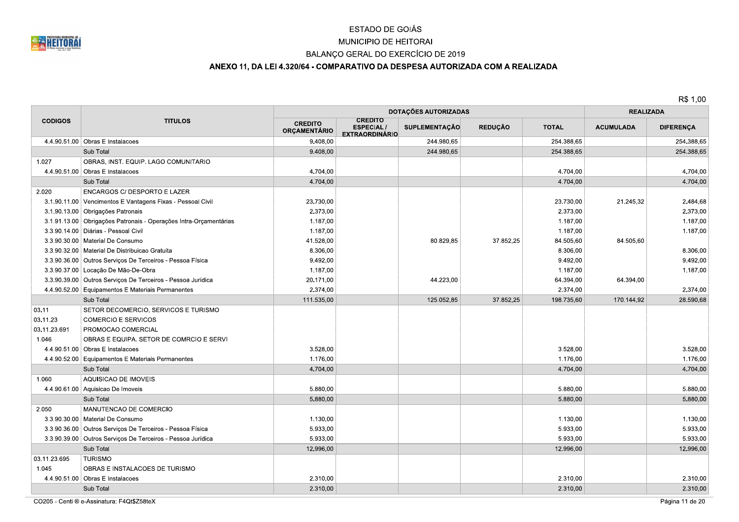

## MUNICIPIO DE HEITORAI

## BALANÇO GERAL DO EXERCÍCIO DE 2019

## ANEXO 11, DA LEI 4.320/64 - COMPARATIVO DA DESPESA AUTORIZADA COM A REALIZADA

R\$ 1,00

|                |                                                                   | <b>DOTAÇÕES AUTORIZADAS</b>    |                                                             |                      |                | <b>REALIZADA</b> |                  |                  |
|----------------|-------------------------------------------------------------------|--------------------------------|-------------------------------------------------------------|----------------------|----------------|------------------|------------------|------------------|
| <b>CODIGOS</b> | <b>TITULOS</b>                                                    | <b>CREDITO</b><br>ORÇAMENTÁRIO | <b>CREDITO</b><br><b>ESPECIAL/</b><br><b>EXTRAORDINÁRIO</b> | <b>SUPLEMENTAÇÃO</b> | <b>REDUÇÃO</b> | <b>TOTAL</b>     | <b>ACUMULADA</b> | <b>DIFERENÇA</b> |
|                | 4.4.90.51.00 Obras E Instalacoes                                  | 9.408,00                       |                                                             | 244.980,65           |                | 254.388.65       |                  | 254.388,65       |
|                | Sub Total                                                         | 9.408,00                       |                                                             | 244.980,65           |                | 254.388,65       |                  | 254.388,65       |
| 1.027          | OBRAS, INST. EQUIP. LAGO COMUNITARIO                              |                                |                                                             |                      |                |                  |                  |                  |
|                | 4.4.90.51.00 Obras E Instalacoes                                  | 4.704,00                       |                                                             |                      |                | 4.704,00         |                  | 4.704,00         |
|                | Sub Total                                                         | 4.704,00                       |                                                             |                      |                | 4.704,00         |                  | 4.704,00         |
| 2.020          | <b>ENCARGOS C/ DESPORTO E LAZER</b>                               |                                |                                                             |                      |                |                  |                  |                  |
|                | 3.1.90.11.00 Vencimentos E Vantagens Fixas - Pessoal Civil        | 23.730,00                      |                                                             |                      |                | 23.730,00        | 21.245,32        | 2.484,68         |
|                | 3.1.90.13.00 Obrigações Patronais                                 | 2.373,00                       |                                                             |                      |                | 2.373,00         |                  | 2.373,00         |
|                | 3.1.91.13.00 Obrigações Patronais - Operações Intra-Orçamentárias | 1.187,00                       |                                                             |                      |                | 1.187,00         |                  | 1.187,00         |
|                | 3.3.90.14.00 Diárias - Pessoal Civil                              | 1.187,00                       |                                                             |                      |                | 1.187,00         |                  | 1.187,00         |
|                | 3.3.90.30.00   Material De Consumo                                | 41.528,00                      |                                                             | 80.829,85            | 37.852,25      | 84.505,60        | 84.505.60        |                  |
|                | 3.3.90.32.00   Material De Distribuicao Gratuita                  | 8.306,00                       |                                                             |                      |                | 8.306,00         |                  | 8.306,00         |
|                | 3.3.90.36.00 Outros Serviços De Terceiros - Pessoa Física         | 9.492,00                       |                                                             |                      |                | 9.492,00         |                  | 9.492,00         |
|                | 3.3.90.37.00 Locação De Mão-De-Obra                               | 1.187,00                       |                                                             |                      |                | 1.187,00         |                  | 1.187,00         |
|                | 3.3.90.39.00 Outros Serviços De Terceiros - Pessoa Jurídica       | 20.171,00                      |                                                             | 44.223,00            |                | 64.394,00        | 64.394,00        |                  |
|                | 4.4.90.52.00 Equipamentos E Materiais Permanentes                 | 2.374,00                       |                                                             |                      |                | 2.374,00         |                  | 2.374,00         |
|                | Sub Total                                                         | 111.535,00                     |                                                             | 125.052,85           | 37.852,25      | 198.735,60       | 170.144,92       | 28.590,68        |
| 03.11          | SETOR DECOMERCIO, SERVICOS E TURISMO                              |                                |                                                             |                      |                |                  |                  |                  |
| 03.11.23       | <b>COMERCIO E SERVICOS</b>                                        |                                |                                                             |                      |                |                  |                  |                  |
| 03.11.23.691   | PROMOCAO COMERCIAL                                                |                                |                                                             |                      |                |                  |                  |                  |
| 1.046          | OBRAS E EQUIPA. SETOR DE COMRCIO E SERVI                          |                                |                                                             |                      |                |                  |                  |                  |
|                | 4.4.90.51.00 Obras E Instalacoes                                  | 3.528,00                       |                                                             |                      |                | 3.528,00         |                  | 3.528,00         |
|                | 4.4.90.52.00 Equipamentos E Materiais Permanentes                 | 1.176,00                       |                                                             |                      |                | 1.176,00         |                  | 1.176,00         |
|                | Sub Total                                                         | 4.704,00                       |                                                             |                      |                | 4.704,00         |                  | 4.704,00         |
| 1.060          | AQUISICAO DE IMOVEIS                                              |                                |                                                             |                      |                |                  |                  |                  |
|                | 4.4.90.61.00 Aquisicao De Imoveis                                 | 5.880,00                       |                                                             |                      |                | 5.880,00         |                  | 5.880,00         |
|                | Sub Total                                                         | 5.880,00                       |                                                             |                      |                | 5.880,00         |                  | 5.880,00         |
| 2.050          | MANUTENCAO DE COMERCIO                                            |                                |                                                             |                      |                |                  |                  |                  |
|                | 3.3.90.30.00 Material De Consumo                                  | 1.130,00                       |                                                             |                      |                | 1.130,00         |                  | 1.130,00         |
|                | 3.3.90.36.00 Outros Serviços De Terceiros - Pessoa Física         | 5.933,00                       |                                                             |                      |                | 5.933,00         |                  | 5.933,00         |
|                | 3.3.90.39.00 Outros Serviços De Terceiros - Pessoa Jurídica       | 5.933,00                       |                                                             |                      |                | 5.933,00         |                  | 5.933,00         |
|                | Sub Total                                                         | 12.996,00                      |                                                             |                      |                | 12.996,00        |                  | 12.996,00        |
| 03.11.23.695   | <b>TURISMO</b>                                                    |                                |                                                             |                      |                |                  |                  |                  |
| 1.045          | OBRAS E INSTALACOES DE TURISMO                                    |                                |                                                             |                      |                |                  |                  |                  |
|                | 4.4.90.51.00 Obras E Instalacoes                                  | 2.310,00                       |                                                             |                      |                | 2.310,00         |                  | 2.310,00         |
|                | Sub Total                                                         | 2.310,00                       |                                                             |                      |                | 2.310,00         |                  | 2.310,00         |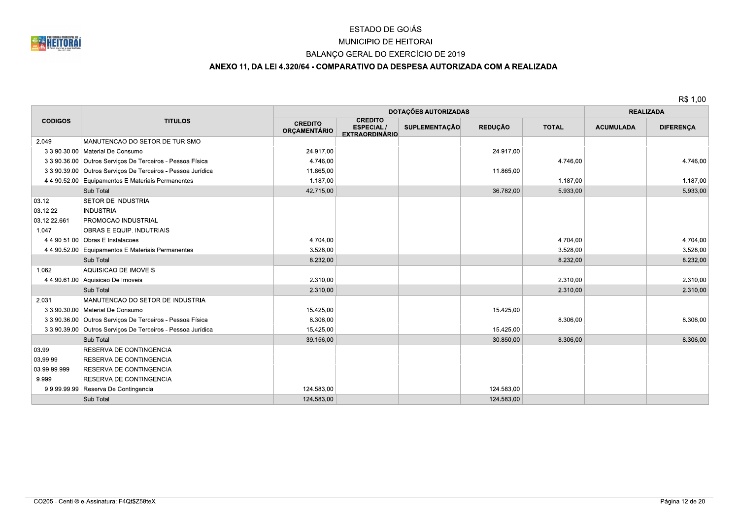

## MUNICIPIO DE HEITORAI

## BALANÇO GERAL DO EXERCÍCIO DE 2019

## ANEXO 11, DA LEI 4.320/64 - COMPARATIVO DA DESPESA AUTORIZADA COM A REALIZADA

|                |                                                             |                                       | DOTAÇÕES AUTORIZADAS                                        |               |                |              |                  | <b>REALIZADA</b> |  |
|----------------|-------------------------------------------------------------|---------------------------------------|-------------------------------------------------------------|---------------|----------------|--------------|------------------|------------------|--|
| <b>CODIGOS</b> | <b>TITULOS</b>                                              | <b>CREDITO</b><br><b>ORCAMENTÁRIO</b> | <b>CREDITO</b><br><b>ESPECIAL/</b><br><b>EXTRAORDINÁRIO</b> | SUPLEMENTAÇÃO | <b>REDUÇÃO</b> | <b>TOTAL</b> | <b>ACUMULADA</b> | <b>DIFERENÇA</b> |  |
| 2.049          | MANUTENCAO DO SETOR DE TURISMO                              |                                       |                                                             |               |                |              |                  |                  |  |
|                | 3.3.90.30.00   Material De Consumo                          | 24.917,00                             |                                                             |               | 24.917,00      |              |                  |                  |  |
|                | 3.3.90.36.00 Outros Serviços De Terceiros - Pessoa Física   | 4.746,00                              |                                                             |               |                | 4.746,00     |                  | 4.746,00         |  |
|                | 3.3.90.39.00 Outros Servicos De Terceiros - Pessoa Jurídica | 11.865,00                             |                                                             |               | 11.865,00      |              |                  |                  |  |
|                | 4.4.90.52.00 Equipamentos E Materiais Permanentes           | 1.187,00                              |                                                             |               |                | 1.187,00     |                  | 1.187,00         |  |
|                | Sub Total                                                   | 42.715,00                             |                                                             |               | 36.782,00      | 5.933,00     |                  | 5.933,00         |  |
| 03.12          | SETOR DE INDUSTRIA                                          |                                       |                                                             |               |                |              |                  |                  |  |
| 03.12.22       | <b>INDUSTRIA</b>                                            |                                       |                                                             |               |                |              |                  |                  |  |
| 03.12.22.661   | <b>PROMOCAO INDUSTRIAL</b>                                  |                                       |                                                             |               |                |              |                  |                  |  |
| 1.047          | OBRAS E EQUIP. INDUTRIAIS                                   |                                       |                                                             |               |                |              |                  |                  |  |
|                | 4.4.90.51.00 Obras E Instalacoes                            | 4.704,00                              |                                                             |               |                | 4.704.00     |                  | 4.704,00         |  |
|                | 4.4.90.52.00 Equipamentos E Materiais Permanentes           | 3.528,00                              |                                                             |               |                | 3.528,00     |                  | 3.528,00         |  |
|                | Sub Total                                                   | 8.232,00                              |                                                             |               |                | 8.232,00     |                  | 8.232,00         |  |
| 1.062          | AQUISICAO DE IMOVEIS                                        |                                       |                                                             |               |                |              |                  |                  |  |
|                | 4.4.90.61.00 Aquisicao De Imoveis                           | 2.310.00                              |                                                             |               |                | 2.310.00     |                  | 2.310,00         |  |
|                | Sub Total                                                   | 2.310,00                              |                                                             |               |                | 2.310,00     |                  | 2.310,00         |  |
| 2.031          | MANUTENCAO DO SETOR DE INDUSTRIA                            |                                       |                                                             |               |                |              |                  |                  |  |
|                | 3.3.90.30.00   Material De Consumo                          | 15.425,00                             |                                                             |               | 15.425,00      |              |                  |                  |  |
|                | 3.3.90.36.00 Outros Serviços De Terceiros - Pessoa Física   | 8.306,00                              |                                                             |               |                | 8.306,00     |                  | 8.306,00         |  |
|                | 3.3.90.39.00 Outros Serviços De Terceiros - Pessoa Jurídica | 15.425,00                             |                                                             |               | 15.425,00      |              |                  |                  |  |
|                | Sub Total                                                   | 39.156,00                             |                                                             |               | 30.850,00      | 8.306,00     |                  | 8.306,00         |  |
| 03.99          | RESERVA DE CONTINGENCIA                                     |                                       |                                                             |               |                |              |                  |                  |  |
| 03.99.99       | RESERVA DE CONTINGENCIA                                     |                                       |                                                             |               |                |              |                  |                  |  |
| 03.99.99.999   | RESERVA DE CONTINGENCIA                                     |                                       |                                                             |               |                |              |                  |                  |  |
| 9.999          | RESERVA DE CONTINGENCIA                                     |                                       |                                                             |               |                |              |                  |                  |  |
|                | 9.9.99.99.99 Reserva De Contingencia                        | 124.583,00                            |                                                             |               | 124.583,00     |              |                  |                  |  |
|                | Sub Total                                                   | 124.583.00                            |                                                             |               | 124.583,00     |              |                  |                  |  |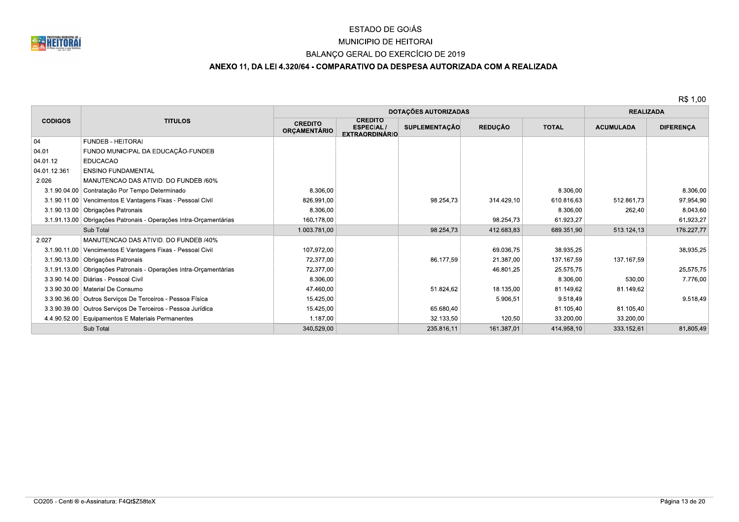

# MUNICIPIO DE HEITORAI

## BALANÇO GERAL DO EXERCÍCIO DE 2019

# ANEXO 11, DA LEI 4.320/64 - COMPARATIVO DA DESPESA AUTORIZADA COM A REALIZADA

|                |                                                                   |                                       | DOTAÇÕES AUTORIZADAS                                        | <b>REALIZADA</b>     |                |              |                  |                  |
|----------------|-------------------------------------------------------------------|---------------------------------------|-------------------------------------------------------------|----------------------|----------------|--------------|------------------|------------------|
| <b>CODIGOS</b> | <b>TITULOS</b>                                                    | <b>CREDITO</b><br><b>ORCAMENTÁRIO</b> | <b>CREDITO</b><br><b>ESPECIAL/</b><br><b>EXTRAORDINÁRIO</b> | <b>SUPLEMENTAÇÃO</b> | <b>REDUÇÃO</b> | <b>TOTAL</b> | <b>ACUMULADA</b> | <b>DIFERENÇA</b> |
| 04             | <b>FUNDEB - HEITORAI</b>                                          |                                       |                                                             |                      |                |              |                  |                  |
| 04.01          | FUNDO MUNICIPAL DA EDUCAÇÃO-FUNDEB                                |                                       |                                                             |                      |                |              |                  |                  |
| 04.01.12       | <b>EDUCACAO</b>                                                   |                                       |                                                             |                      |                |              |                  |                  |
| 04.01.12.361   | <b>ENSINO FUNDAMENTAL</b>                                         |                                       |                                                             |                      |                |              |                  |                  |
| 2.026          | MANUTENCAO DAS ATIVID. DO FUNDEB /60%                             |                                       |                                                             |                      |                |              |                  |                  |
|                | 3.1.90.04.00 Contratação Por Tempo Determinado                    | 8.306,00                              |                                                             |                      |                | 8.306,00     |                  | 8.306,00         |
|                | 3.1.90.11.00   Vencimentos E Vantagens Fixas - Pessoal Civil      | 826.991,00                            |                                                             | 98.254,73            | 314.429,10     | 610.816,63   | 512.861,73       | 97.954,90        |
|                | 3.1.90.13.00 Obrigações Patronais                                 | 8.306,00                              |                                                             |                      |                | 8.306,00     | 262,40           | 8.043,60         |
|                | 3.1.91.13.00 Obrigações Patronais - Operações Intra-Orçamentárias | 160.178,00                            |                                                             |                      | 98.254,73      | 61.923,27    |                  | 61.923,27        |
|                | Sub Total                                                         | 1.003.781,00                          |                                                             | 98.254,73            | 412.683.83     | 689.351.90   | 513.124.13       | 176.227,77       |
| 2.027          | MANUTENCAO DAS ATIVID. DO FUNDEB /40%                             |                                       |                                                             |                      |                |              |                  |                  |
|                | 3.1.90.11.00 Vencimentos E Vantagens Fixas - Pessoal Civil        | 107.972,00                            |                                                             |                      | 69.036,75      | 38.935,25    |                  | 38.935,25        |
|                | 3.1.90.13.00 Obrigações Patronais                                 | 72.377.00                             |                                                             | 86.177,59            | 21.387,00      | 137.167.59   | 137.167.59       |                  |
|                | 3.1.91.13.00 Obrigações Patronais - Operações Intra-Orçamentárias | 72.377.00                             |                                                             |                      | 46.801,25      | 25.575,75    |                  | 25.575,75        |
|                | 3.3.90.14.00   Diárias - Pessoal Civil                            | 8.306,00                              |                                                             |                      |                | 8.306,00     | 530,00           | 7.776.00         |
|                | 3.3.90.30.00   Material De Consumo                                | 47.460,00                             |                                                             | 51.824,62            | 18.135,00      | 81.149,62    | 81.149,62        |                  |
|                | 3.3.90.36.00 Outros Serviços De Terceiros - Pessoa Física         | 15.425,00                             |                                                             |                      | 5.906,51       | 9.518,49     |                  | 9.518,49         |
|                | 3.3.90.39.00 Outros Serviços De Terceiros - Pessoa Jurídica       | 15.425,00                             |                                                             | 65.680,40            |                | 81.105,40    | 81.105,40        |                  |
|                | 4.4.90.52.00 Equipamentos E Materiais Permanentes                 | 1.187,00                              |                                                             | 32.133,50            | 120,50         | 33.200,00    | 33.200,00        |                  |
|                | Sub Total                                                         | 340.529,00                            |                                                             | 235.816,11           | 161.387,01     | 414.958,10   | 333.152.61       | 81.805,49        |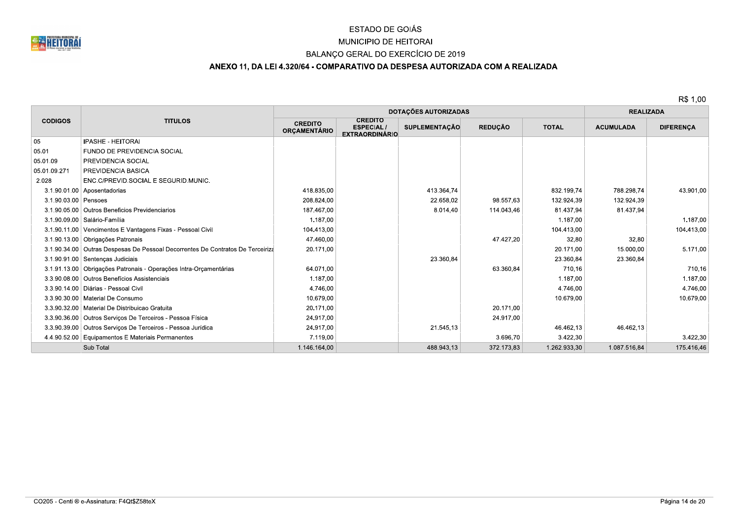

# MUNICIPIO DE HEITORAI

## BALANÇO GERAL DO EXERCÍCIO DE 2019

## ANEXO 11, DA LEI 4.320/64 - COMPARATIVO DA DESPESA AUTORIZADA COM A REALIZADA

|                      |                                                                                |                                       | DOTAÇÕES AUTORIZADAS                                        |                      | <b>REALIZADA</b> |              |                  |                  |
|----------------------|--------------------------------------------------------------------------------|---------------------------------------|-------------------------------------------------------------|----------------------|------------------|--------------|------------------|------------------|
| <b>CODIGOS</b>       | <b>TITULOS</b>                                                                 | <b>CREDITO</b><br><b>ORÇAMENTÁRIO</b> | <b>CREDITO</b><br><b>ESPECIAL/</b><br><b>EXTRAORDINÁRIO</b> | <b>SUPLEMENTAÇÃO</b> | <b>REDUÇÃO</b>   | <b>TOTAL</b> | <b>ACUMULADA</b> | <b>DIFERENÇA</b> |
| 05                   | <b>IPASHE - HEITORAI</b>                                                       |                                       |                                                             |                      |                  |              |                  |                  |
| 05.01                | FUNDO DE PREVIDENCIA SOCIAL                                                    |                                       |                                                             |                      |                  |              |                  |                  |
| 05.01.09             | PREVIDENCIA SOCIAL                                                             |                                       |                                                             |                      |                  |              |                  |                  |
| 05.01.09.271         | PREVIDENCIA BASICA                                                             |                                       |                                                             |                      |                  |              |                  |                  |
| 2.028                | ENC.C/PREVID.SOCIAL E SEGURID.MUNIC.                                           |                                       |                                                             |                      |                  |              |                  |                  |
|                      | 3.1.90.01.00 Aposentadorias                                                    | 418.835,00                            |                                                             | 413.364.74           |                  | 832.199.74   | 788.298,74       | 43.901,00        |
| 3.1.90.03.00 Pensoes |                                                                                | 208.824,00                            |                                                             | 22.658,02            | 98.557.63        | 132.924,39   | 132.924.39       |                  |
|                      | 3.1.90.05.00 Outros Beneficios Previdenciarios                                 | 187.467,00                            |                                                             | 8.014,40             | 114.043.46       | 81.437,94    | 81.437,94        |                  |
|                      | 3.1.90.09.00   Salário-Família                                                 | 1.187.00                              |                                                             |                      |                  | 1.187.00     |                  | 1.187.00         |
|                      | 3.1.90.11.00 Vencimentos E Vantagens Fixas - Pessoal Civil                     | 104.413,00                            |                                                             |                      |                  | 104.413.00   |                  | 104.413,00       |
|                      | 3.1.90.13.00 Obrigações Patronais                                              | 47.460,00                             |                                                             |                      | 47.427,20        | 32,80        | 32.80            |                  |
|                      | 3.1.90.34.00 Outras Despesas De Pessoal Decorrentes De Contratos De Terceiriza | 20.171,00                             |                                                             |                      |                  | 20.171,00    | 15.000,00        | 5.171,00         |
|                      | 3.1.90.91.00 Sentenças Judiciais                                               |                                       |                                                             | 23.360,84            |                  | 23.360,84    | 23.360,84        |                  |
|                      | 3.1.91.13.00 Obrigações Patronais - Operações Intra-Orçamentárias              | 64.071,00                             |                                                             |                      | 63.360,84        | 710,16       |                  | 710,16           |
|                      | 3.3.90.08.00 Outros Benefícios Assistenciais                                   | 1.187,00                              |                                                             |                      |                  | 1.187,00     |                  | 1.187,00         |
|                      | 3.3.90.14.00   Diárias - Pessoal Civil                                         | 4.746,00                              |                                                             |                      |                  | 4.746,00     |                  | 4.746,00         |
|                      | 3.3.90.30.00   Material De Consumo                                             | 10.679,00                             |                                                             |                      |                  | 10.679,00    |                  | 10.679,00        |
|                      | 3.3.90.32.00   Material De Distribuicao Gratuita                               | 20.171,00                             |                                                             |                      | 20.171,00        |              |                  |                  |
|                      | 3.3.90.36.00   Outros Serviços De Terceiros - Pessoa Física                    | 24.917,00                             |                                                             |                      | 24.917,00        |              |                  |                  |
|                      | 3.3.90.39.00 Outros Serviços De Terceiros - Pessoa Jurídica                    | 24.917,00                             |                                                             | 21.545,13            |                  | 46.462,13    | 46.462.13        |                  |
|                      | 4.4.90.52.00 Equipamentos E Materiais Permanentes                              | 7.119,00                              |                                                             |                      | 3.696,70         | 3.422,30     |                  | 3.422,30         |
|                      | Sub Total                                                                      | 1.146.164,00                          |                                                             | 488.943.13           | 372.173,83       | 1.262.933,30 | 1.087.516,84     | 175.416,46       |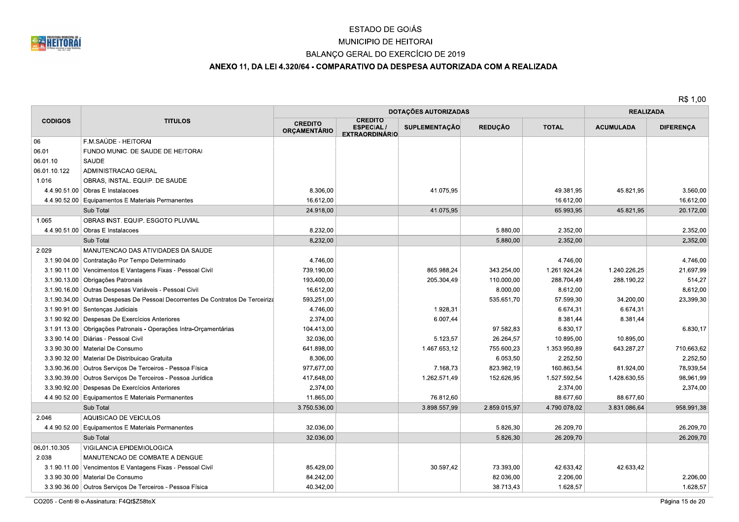

## MUNICIPIO DE HEITORAI

## BALANÇO GERAL DO EXERCÍCIO DE 2019

## ANEXO 11, DA LEI 4.320/64 - COMPARATIVO DA DESPESA AUTORIZADA COM A REALIZADA

R\$ 1,00

|                |                                                                                |                                       | DOTAÇÕES AUTORIZADAS                                        | <b>REALIZADA</b>     |                |              |                  |                  |
|----------------|--------------------------------------------------------------------------------|---------------------------------------|-------------------------------------------------------------|----------------------|----------------|--------------|------------------|------------------|
| <b>CODIGOS</b> | <b>TITULOS</b>                                                                 | <b>CREDITO</b><br><b>ORCAMENTÁRIO</b> | <b>CREDITO</b><br><b>ESPECIAL/</b><br><b>EXTRAORDINÁRIO</b> | <b>SUPLEMENTAÇÃO</b> | <b>REDUÇÃO</b> | <b>TOTAL</b> | <b>ACUMULADA</b> | <b>DIFERENÇA</b> |
| 06             | F.M.SAÚDE - HEITORAI                                                           |                                       |                                                             |                      |                |              |                  |                  |
| 06.01          | FUNDO MUNIC. DE SAUDE DE HEITORAI                                              |                                       |                                                             |                      |                |              |                  |                  |
| 06.01.10       | <b>SAUDE</b>                                                                   |                                       |                                                             |                      |                |              |                  |                  |
| 06.01.10.122   | ADMINISTRACAO GERAL                                                            |                                       |                                                             |                      |                |              |                  |                  |
| 1.016          | OBRAS, INSTAL. EQUIP. DE SAUDE                                                 |                                       |                                                             |                      |                |              |                  |                  |
|                | 4.4.90.51.00 Obras E Instalacoes                                               | 8.306.00                              |                                                             | 41.075,95            |                | 49.381,95    | 45.821.95        | 3.560,00         |
|                | 4.4.90.52.00 Equipamentos E Materiais Permanentes                              | 16.612,00                             |                                                             |                      |                | 16.612,00    |                  | 16.612,00        |
|                | Sub Total                                                                      | 24.918,00                             |                                                             | 41.075.95            |                | 65.993,95    | 45.821,95        | 20.172,00        |
| 1.065          | OBRAS INST. EQUIP. ESGOTO PLUVIAL                                              |                                       |                                                             |                      |                |              |                  |                  |
|                | 4.4.90.51.00 Obras E Instalacoes                                               | 8.232,00                              |                                                             |                      | 5.880,00       | 2.352,00     |                  | 2.352,00         |
|                | Sub Total                                                                      | 8.232,00                              |                                                             |                      | 5.880,00       | 2.352,00     |                  | 2.352,00         |
| 2.029          | MANUTENCAO DAS ATIVIDADES DA SAUDE                                             |                                       |                                                             |                      |                |              |                  |                  |
|                | 3.1.90.04.00 Contratação Por Tempo Determinado                                 | 4.746,00                              |                                                             |                      |                | 4.746,00     |                  | 4.746,00         |
|                | 3.1.90.11.00 Vencimentos E Vantagens Fixas - Pessoal Civil                     | 739.190.00                            |                                                             | 865.988.24           | 343.254.00     | 1.261.924.24 | 1.240.226.25     | 21.697.99        |
|                | 3.1.90.13.00 Obrigações Patronais                                              | 193.400,00                            |                                                             | 205.304,49           | 110.000,00     | 288.704,49   | 288.190.22       | 514.27           |
|                | 3.1.90.16.00   Outras Despesas Variáveis - Pessoal Civil                       | 16.612,00                             |                                                             |                      | 8.000,00       | 8.612,00     |                  | 8.612,00         |
|                | 3.1.90.34.00 Outras Despesas De Pessoal Decorrentes De Contratos De Terceiriza | 593.251,00                            |                                                             |                      | 535.651,70     | 57.599,30    | 34.200,00        | 23.399,30        |
|                | 3.1.90.91.00 Sentenças Judiciais                                               | 4.746.00                              |                                                             | 1.928,31             |                | 6.674,31     | 6.674,31         |                  |
|                | 3.1.90.92.00 Despesas De Exercícios Anteriores                                 | 2.374,00                              |                                                             | 6.007,44             |                | 8.381,44     | 8.381,44         |                  |
|                | 3.1.91.13.00 Obrigações Patronais - Operações Intra-Orçamentárias              | 104.413,00                            |                                                             |                      | 97.582,83      | 6.830,17     |                  | 6.830.17         |
|                | 3.3.90.14.00   Diárias - Pessoal Civil                                         | 32.036,00                             |                                                             | 5.123,57             | 26.264,57      | 10.895,00    | 10.895,00        |                  |
|                | 3.3.90.30.00   Material De Consumo                                             | 641.898,00                            |                                                             | 1.467.653,12         | 755.600,23     | 1.353.950,89 | 643.287,27       | 710.663,62       |
|                | 3.3.90.32.00   Material De Distribuicao Gratuita                               | 8.306,00                              |                                                             |                      | 6.053,50       | 2.252,50     |                  | 2.252.50         |
|                | 3.3.90.36.00 Outros Serviços De Terceiros - Pessoa Física                      | 977.677,00                            |                                                             | 7.168,73             | 823.982,19     | 160.863,54   | 81.924,00        | 78.939,54        |
|                | 3.3.90.39.00   Outros Serviços De Terceiros - Pessoa Jurídica                  | 417.648,00                            |                                                             | 1.262.571,49         | 152.626,95     | 1.527.592,54 | 1.428.630,55     | 98.961,99        |
|                | 3.3.90.92.00 Despesas De Exercícios Anteriores                                 | 2.374,00                              |                                                             |                      |                | 2.374,00     |                  | 2.374,00         |
|                | 4.4.90.52.00 Equipamentos E Materiais Permanentes                              | 11.865,00                             |                                                             | 76.812,60            |                | 88.677,60    | 88.677,60        |                  |
|                | Sub Total                                                                      | 3.750.536,00                          |                                                             | 3.898.557,99         | 2.859.015,97   | 4.790.078,02 | 3.831.086,64     | 958.991,38       |
| 2.046          | AQUISICAO DE VEICULOS                                                          |                                       |                                                             |                      |                |              |                  |                  |
|                | 4.4.90.52.00 Equipamentos E Materiais Permanentes                              | 32.036,00                             |                                                             |                      | 5.826,30       | 26.209,70    |                  | 26.209.70        |
|                | Sub Total                                                                      | 32.036,00                             |                                                             |                      | 5.826,30       | 26.209,70    |                  | 26.209.70        |
| 06.01.10.305   | VIGILANCIA EPIDEMIOLOGICA                                                      |                                       |                                                             |                      |                |              |                  |                  |
| 2.038          | MANUTENCAO DE COMBATE A DENGUE                                                 |                                       |                                                             |                      |                |              |                  |                  |
|                | 3.1.90.11.00   Vencimentos E Vantagens Fixas - Pessoal Civil                   | 85.429,00                             |                                                             | 30.597,42            | 73.393,00      | 42.633,42    | 42.633,42        |                  |
|                | 3.3.90.30.00   Material De Consumo                                             | 84.242,00                             |                                                             |                      | 82.036,00      | 2.206,00     |                  | 2.206,00         |
|                | 3.3.90.36.00 Outros Serviços De Terceiros - Pessoa Física                      | 40.342,00                             |                                                             |                      | 38.713,43      | 1.628,57     |                  | 1.628,57         |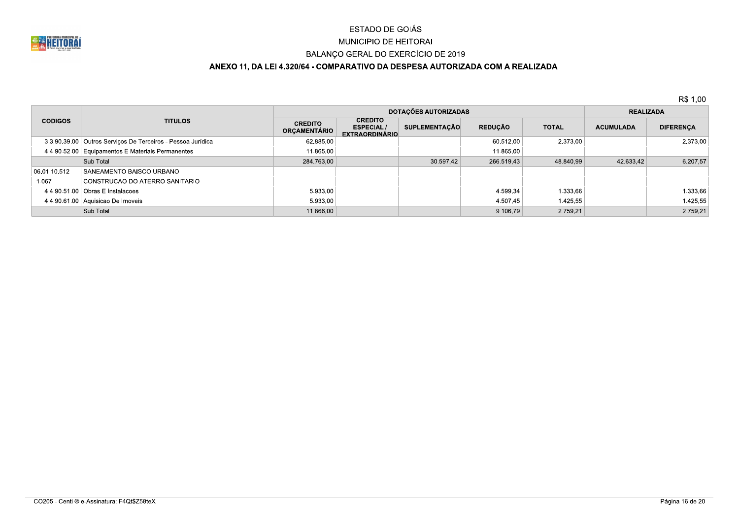

# MUNICIPIO DE HEITORAI

## BALANÇO GERAL DO EXERCÍCIO DE 2019

# ANEXO 11, DA LEI 4.320/64 - COMPARATIVO DA DESPESA AUTORIZADA COM A REALIZADA

|                |                                                             |                                       | <b>DOTAÇÕES AUTORIZADAS</b>                                 | <b>REALIZADA</b> |                |              |                  |                  |
|----------------|-------------------------------------------------------------|---------------------------------------|-------------------------------------------------------------|------------------|----------------|--------------|------------------|------------------|
| <b>CODIGOS</b> | <b>TITULOS</b>                                              | <b>CREDITO</b><br><b>ORCAMENTÁRIO</b> | <b>CREDITO</b><br><b>ESPECIAL/</b><br><b>EXTRAORDINÁRIO</b> | SUPLEMENTACÃO    | <b>REDUÇÃO</b> | <b>TOTAL</b> | <b>ACUMULADA</b> | <b>DIFERENÇA</b> |
|                | 3.3.90.39.00 Outros Serviços De Terceiros - Pessoa Jurídica | 62.885.00                             |                                                             |                  | 60.512.00      | 2.373.00     |                  | 2.373.00         |
|                | 4.4.90.52.00 Equipamentos E Materiais Permanentes           | 11.865,00                             |                                                             |                  | 11.865,00      |              |                  |                  |
|                | Sub Total                                                   | 284.763,00                            |                                                             | 30.597,42        | 266.519,43     | 48.840,99    | 42.633,42        | 6.207.57         |
| 06.01.10.512   | SANEAMENTO BAISCO URBANO                                    |                                       |                                                             |                  |                |              |                  |                  |
| 1.067          | CONSTRUCAO DO ATERRO SANITARIO                              |                                       |                                                             |                  |                |              |                  |                  |
|                | $4.4.90.51.00$ Obras E Instalacoes                          | 5.933.00                              |                                                             |                  | 4.599.34       | 1.333,66     |                  | 1.333,66         |
|                | 4.4.90.61.00 Aquisicao De Imoveis                           | 5.933,00                              |                                                             |                  | 4.507.45       | 1.425,55     |                  | 1.425,55         |
|                | Sub Total                                                   | 11.866,00                             |                                                             |                  | 9.106.79       | 2.759.21     |                  | 2.759.21         |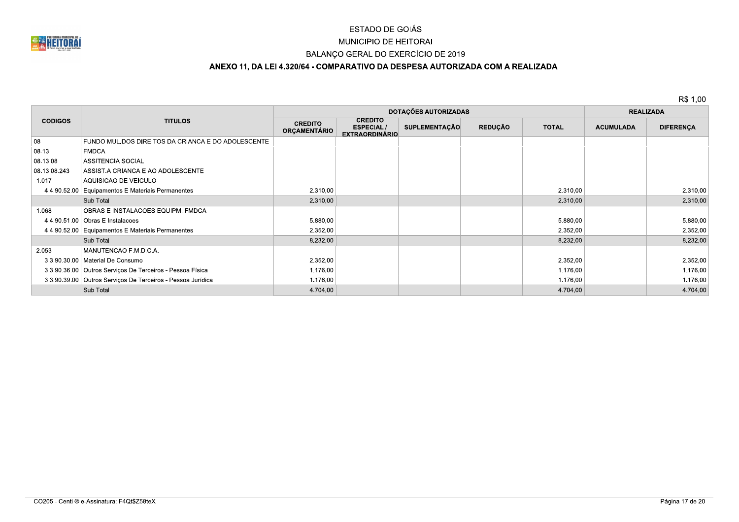

## MUNICIPIO DE HEITORAI

#### BALANÇO GERAL DO EXERCÍCIO DE 2019

## ANEXO 11, DA LEI 4.320/64 - COMPARATIVO DA DESPESA AUTORIZADA COM A REALIZADA

|                |                                                             |                                       | DOTAÇÕES AUTORIZADAS                                        | <b>REALIZADA</b>     |                |              |                  |                  |
|----------------|-------------------------------------------------------------|---------------------------------------|-------------------------------------------------------------|----------------------|----------------|--------------|------------------|------------------|
| <b>CODIGOS</b> | <b>TITULOS</b>                                              | <b>CREDITO</b><br><b>ORÇAMENTÁRIO</b> | <b>CREDITO</b><br><b>ESPECIAL/</b><br><b>EXTRAORDINÁRIO</b> | <b>SUPLEMENTAÇÃO</b> | <b>REDUÇÃO</b> | <b>TOTAL</b> | <b>ACUMULADA</b> | <b>DIFERENÇA</b> |
| 08             | FUNDO MUL.DOS DIREITOS DA CRIANCA E DO ADOLESCENTE          |                                       |                                                             |                      |                |              |                  |                  |
| 08.13          | <b>FMDCA</b>                                                |                                       |                                                             |                      |                |              |                  |                  |
| 08.13.08       | ASSITENCIA SOCIAL                                           |                                       |                                                             |                      |                |              |                  |                  |
| 08.13.08.243   | ASSIST A CRIANCA E AO ADOLESCENTE                           |                                       |                                                             |                      |                |              |                  |                  |
| 1.017          | AQUISICAO DE VEICULO                                        |                                       |                                                             |                      |                |              |                  |                  |
| 4.4.90.52.00   | Equipamentos E Materiais Permanentes                        | 2.310,00                              |                                                             |                      |                | 2.310,00     |                  | 2.310,00         |
|                | Sub Total                                                   | 2.310,00                              |                                                             |                      |                | 2.310,00     |                  | 2.310,00         |
| 1.068          | OBRAS E INSTALACOES EQUIPM. FMDCA                           |                                       |                                                             |                      |                |              |                  |                  |
|                | 4.4.90.51.00 Obras E Instalacoes                            | 5.880,00                              |                                                             |                      |                | 5.880,00     |                  | 5.880,00         |
|                | 4.4.90.52.00 Equipamentos E Materiais Permanentes           | 2.352,00                              |                                                             |                      |                | 2.352,00     |                  | 2.352,00         |
|                | Sub Total                                                   | 8.232,00                              |                                                             |                      |                | 8.232,00     |                  | 8.232,00         |
| 2.053          | MANUTENCAO F.M.D.C.A.                                       |                                       |                                                             |                      |                |              |                  |                  |
|                | 3.3.90.30.00   Material De Consumo                          | 2.352,00                              |                                                             |                      |                | 2.352,00     |                  | 2.352,00         |
|                | 3.3.90.36.00 Outros Serviços De Terceiros - Pessoa Física   | 1.176,00                              |                                                             |                      |                | 1.176,00     |                  | 1.176,00         |
|                | 3.3.90.39.00 Outros Serviços De Terceiros - Pessoa Jurídica | 1.176,00                              |                                                             |                      |                | 1.176,00     |                  | 1.176,00         |
|                | Sub Total                                                   | 4.704,00                              |                                                             |                      |                | 4.704,00     |                  | 4.704,00         |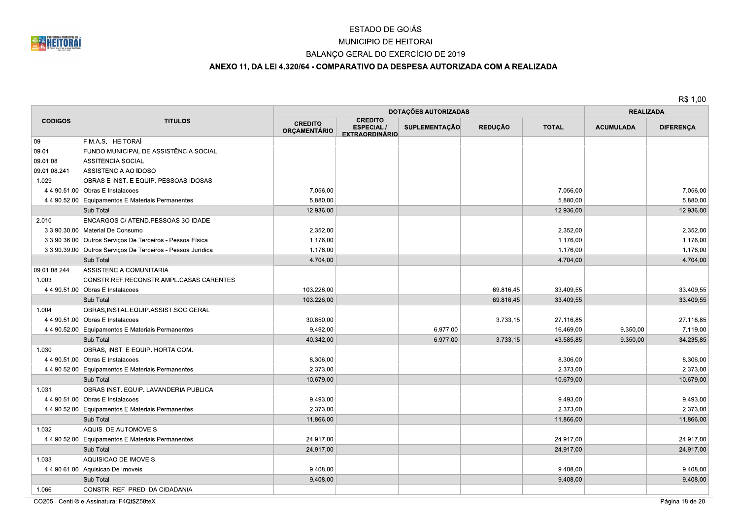

## MUNICIPIO DE HEITORAI

## BALANÇO GERAL DO EXERCÍCIO DE 2019

## ANEXO 11, DA LEI 4.320/64 - COMPARATIVO DA DESPESA AUTORIZADA COM A REALIZADA

|                |                                                             |                                       | <b>DOTAÇÕES AUTORIZADAS</b>                                 | <b>REALIZADA</b>     |                |              |                  |                  |
|----------------|-------------------------------------------------------------|---------------------------------------|-------------------------------------------------------------|----------------------|----------------|--------------|------------------|------------------|
| <b>CODIGOS</b> | <b>TITULOS</b>                                              | <b>CREDITO</b><br><b>ORÇAMENTÁRIO</b> | <b>CREDITO</b><br><b>ESPECIAL/</b><br><b>EXTRAORDINÁRIO</b> | <b>SUPLEMENTAÇÃO</b> | <b>REDUÇÃO</b> | <b>TOTAL</b> | <b>ACUMULADA</b> | <b>DIFERENÇA</b> |
| 09             | F.M.A.S. - HEITORAÍ                                         |                                       |                                                             |                      |                |              |                  |                  |
| 09.01          | FUNDO MUNICIPAL DE ASSISTÊNCIA SOCIAL                       |                                       |                                                             |                      |                |              |                  |                  |
| 09.01.08       | <b>ASSITENCIA SOCIAL</b>                                    |                                       |                                                             |                      |                |              |                  |                  |
| 09.01.08.241   | ASSISTENCIA AO IDOSO                                        |                                       |                                                             |                      |                |              |                  |                  |
| 1.029          | OBRAS E INST. E EQUIP. PESSOAS IDOSAS                       |                                       |                                                             |                      |                |              |                  |                  |
|                | 4.4.90.51.00 Obras E Instalacoes                            | 7.056,00                              |                                                             |                      |                | 7.056,00     |                  | 7.056,00         |
|                | 4.4.90.52.00 Equipamentos E Materiais Permanentes           | 5.880,00                              |                                                             |                      |                | 5.880,00     |                  | 5.880,00         |
|                | Sub Total                                                   | 12.936,00                             |                                                             |                      |                | 12.936,00    |                  | 12.936,00        |
| 2.010          | ENCARGOS C/ ATEND.PESSOAS 3O IDADE                          |                                       |                                                             |                      |                |              |                  |                  |
|                | 3.3.90.30.00 Material De Consumo                            | 2.352,00                              |                                                             |                      |                | 2.352,00     |                  | 2.352,00         |
|                | 3.3.90.36.00 Outros Serviços De Terceiros - Pessoa Física   | 1.176,00                              |                                                             |                      |                | 1.176,00     |                  | 1.176,00         |
|                | 3.3.90.39.00 Outros Serviços De Terceiros - Pessoa Jurídica | 1.176,00                              |                                                             |                      |                | 1.176,00     |                  | 1.176,00         |
|                | Sub Total                                                   | 4.704,00                              |                                                             |                      |                | 4.704,00     |                  | 4.704,00         |
| 09.01.08.244   | ASSISTENCIA COMUNITARIA                                     |                                       |                                                             |                      |                |              |                  |                  |
| 1.003          | CONSTR.REF.RECONSTR.AMPL.CASAS CARENTES                     |                                       |                                                             |                      |                |              |                  |                  |
|                | 4.4.90.51.00 Obras E Instalacoes                            | 103.226,00                            |                                                             |                      | 69.816,45      | 33.409,55    |                  | 33.409,55        |
|                | Sub Total                                                   | 103.226,00                            |                                                             |                      | 69.816,45      | 33.409,55    |                  | 33.409,55        |
| 1.004          | OBRAS, INSTAL.EQUIP.ASSIST.SOC.GERAL                        |                                       |                                                             |                      |                |              |                  |                  |
|                | 4.4.90.51.00 Obras E Instalacoes                            | 30.850,00                             |                                                             |                      | 3.733,15       | 27.116,85    |                  | 27.116,85        |
|                | 4.4.90.52.00 Equipamentos E Materiais Permanentes           | 9.492,00                              |                                                             | 6.977,00             |                | 16.469,00    | 9.350,00         | 7.119,00         |
|                | Sub Total                                                   | 40.342,00                             |                                                             | 6.977,00             | 3.733,15       | 43.585,85    | 9.350,00         | 34.235,85        |
| 1.030          | OBRAS, INST. E EQUIP. HORTA COM.                            |                                       |                                                             |                      |                |              |                  |                  |
|                | 4.4.90.51.00 Obras E Instalacoes                            | 8.306,00                              |                                                             |                      |                | 8.306,00     |                  | 8.306,00         |
|                | 4.4.90.52.00 Equipamentos E Materiais Permanentes           | 2.373,00                              |                                                             |                      |                | 2.373,00     |                  | 2.373,00         |
|                | Sub Total                                                   | 10.679,00                             |                                                             |                      |                | 10.679,00    |                  | 10.679,00        |
| 1.031          | OBRAS INST. EQUIP. LAVANDERIA PUBLICA                       |                                       |                                                             |                      |                |              |                  |                  |
|                | 4.4.90.51.00 Obras E Instalacoes                            | 9.493,00                              |                                                             |                      |                | 9.493,00     |                  | 9.493,00         |
|                | 4.4.90.52.00 Equipamentos E Materiais Permanentes           | 2.373,00                              |                                                             |                      |                | 2.373,00     |                  | 2.373,00         |
|                | Sub Total                                                   | 11.866,00                             |                                                             |                      |                | 11.866,00    |                  | 11.866,00        |
| 1.032          | AQUIS. DE AUTOMOVEIS                                        |                                       |                                                             |                      |                |              |                  |                  |
|                | 4.4.90.52.00 Equipamentos E Materiais Permanentes           | 24.917,00                             |                                                             |                      |                | 24.917,00    |                  | 24.917,00        |
|                | Sub Total                                                   | 24.917,00                             |                                                             |                      |                | 24.917,00    |                  | 24.917,00        |
| 1.033          | AQUISICAO DE IMOVEIS                                        |                                       |                                                             |                      |                |              |                  |                  |
|                | 4.4.90.61.00 Aquisicao De Imoveis                           | 9.408,00                              |                                                             |                      |                | 9.408,00     |                  | 9.408,00         |
|                | Sub Total                                                   | 9.408,00                              |                                                             |                      |                | 9.408,00     |                  | 9.408,00         |
| 1.066          | CONSTR. REF. PRED. DA CIDADANIA                             |                                       |                                                             |                      |                |              |                  |                  |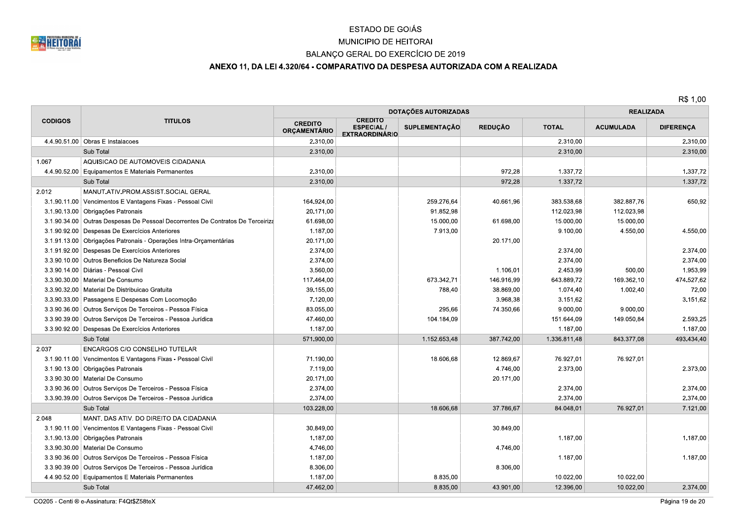

## MUNICIPIO DE HEITORAI

## BALANÇO GERAL DO EXERCÍCIO DE 2019

## ANEXO 11, DA LEI 4.320/64 - COMPARATIVO DA DESPESA AUTORIZADA COM A REALIZADA

|                |                                                                                |                                       | DOTAÇÕES AUTORIZADAS                                        | <b>REALIZADA</b>     |                |              |                  |                  |
|----------------|--------------------------------------------------------------------------------|---------------------------------------|-------------------------------------------------------------|----------------------|----------------|--------------|------------------|------------------|
| <b>CODIGOS</b> | <b>TITULOS</b>                                                                 | <b>CREDITO</b><br><b>ORÇAMENTÁRIO</b> | <b>CREDITO</b><br><b>ESPECIAL/</b><br><b>EXTRAORDINÁRIO</b> | <b>SUPLEMENTAÇÃO</b> | <b>REDUÇÃO</b> | <b>TOTAL</b> | <b>ACUMULADA</b> | <b>DIFERENÇA</b> |
|                | 4.4.90.51.00 Obras E Instalacoes                                               | 2.310,00                              |                                                             |                      |                | 2.310,00     |                  | 2.310,00         |
|                | Sub Total                                                                      | 2.310,00                              |                                                             |                      |                | 2.310,00     |                  | 2.310,00         |
| 1.067          | AQUISICAO DE AUTOMOVEIS CIDADANIA                                              |                                       |                                                             |                      |                |              |                  |                  |
|                | 4.4.90.52.00 Equipamentos E Materiais Permanentes                              | 2.310,00                              |                                                             |                      | 972,28         | 1.337,72     |                  | 1.337,72         |
|                | Sub Total                                                                      | 2.310,00                              |                                                             |                      | 972,28         | 1.337,72     |                  | 1.337,72         |
| 2.012          | MANUT.ATIV.PROM.ASSIST.SOCIAL GERAL                                            |                                       |                                                             |                      |                |              |                  |                  |
|                | 3.1.90.11.00   Vencimentos E Vantagens Fixas - Pessoal Civil                   | 164.924,00                            |                                                             | 259.276,64           | 40.661,96      | 383.538,68   | 382.887,76       | 650,92           |
|                | 3.1.90.13.00 Obrigações Patronais                                              | 20.171,00                             |                                                             | 91.852,98            |                | 112.023,98   | 112.023,98       |                  |
|                | 3.1.90.34.00 Outras Despesas De Pessoal Decorrentes De Contratos De Terceiriza | 61.698.00                             |                                                             | 15.000,00            | 61.698,00      | 15.000,00    | 15.000,00        |                  |
|                | 3.1.90.92.00 Despesas De Exercícios Anteriores                                 | 1.187,00                              |                                                             | 7.913,00             |                | 9.100,00     | 4.550,00         | 4.550,00         |
|                | 3.1.91.13.00 Obrigações Patronais - Operações Intra-Orçamentárias              | 20.171,00                             |                                                             |                      | 20.171,00      |              |                  |                  |
|                | 3.1.91.92.00 Despesas De Exercícios Anteriores                                 | 2.374,00                              |                                                             |                      |                | 2.374,00     |                  | 2.374,00         |
|                | 3.3.90.10.00 Outros Beneficios De Natureza Social                              | 2.374,00                              |                                                             |                      |                | 2.374,00     |                  | 2.374,00         |
|                | 3.3.90.14.00   Diárias - Pessoal Civil                                         | 3.560.00                              |                                                             |                      | 1.106,01       | 2.453,99     | 500,00           | 1.953.99         |
|                | 3.3.90.30.00   Material De Consumo                                             | 117.464,00                            |                                                             | 673.342.71           | 146.916.99     | 643.889,72   | 169.362.10       | 474.527.62       |
|                | 3.3.90.32.00   Material De Distribuicao Gratuita                               | 39.155,00                             |                                                             | 788,40               | 38.869,00      | 1.074,40     | 1.002,40         | 72,00            |
|                | 3.3.90.33.00 Passagens E Despesas Com Locomoção                                | 7.120,00                              |                                                             |                      | 3.968,38       | 3.151,62     |                  | 3.151,62         |
|                | 3.3.90.36.00   Outros Servicos De Terceiros - Pessoa Física                    | 83.055,00                             |                                                             | 295,66               | 74.350,66      | 9.000,00     | 9.000,00         |                  |
|                | 3.3.90.39.00 Outros Serviços De Terceiros - Pessoa Jurídica                    | 47.460,00                             |                                                             | 104.184,09           |                | 151.644,09   | 149.050,84       | 2.593,25         |
|                | 3.3.90.92.00 Despesas De Exercícios Anteriores                                 | 1.187,00                              |                                                             |                      |                | 1.187,00     |                  | 1.187,00         |
|                | Sub Total                                                                      | 571.900,00                            |                                                             | 1.152.653,48         | 387.742,00     | 1.336.811,48 | 843.377,08       | 493.434,40       |
| 2.037          | ENCARGOS C/O CONSELHO TUTELAR                                                  |                                       |                                                             |                      |                |              |                  |                  |
|                | 3.1.90.11.00   Vencimentos E Vantagens Fixas - Pessoal Civil                   | 71.190.00                             |                                                             | 18.606,68            | 12.869.67      | 76.927,01    | 76.927.01        |                  |
|                | 3.1.90.13.00 Obrigações Patronais                                              | 7.119,00                              |                                                             |                      | 4.746,00       | 2.373,00     |                  | 2.373,00         |
|                | 3.3.90.30.00   Material De Consumo                                             | 20.171,00                             |                                                             |                      | 20.171,00      |              |                  |                  |
|                | 3.3.90.36.00 Outros Serviços De Terceiros - Pessoa Física                      | 2.374,00                              |                                                             |                      |                | 2.374,00     |                  | 2.374,00         |
|                | 3.3.90.39.00 Outros Serviços De Terceiros - Pessoa Jurídica                    | 2.374,00                              |                                                             |                      |                | 2.374,00     |                  | 2.374,00         |
|                | Sub Total                                                                      | 103.228.00                            |                                                             | 18.606.68            | 37.786.67      | 84.048.01    | 76.927.01        | 7.121.00         |
| 2.048          | MANT. DAS ATIV. DO DIREITO DA CIDADANIA                                        |                                       |                                                             |                      |                |              |                  |                  |
|                | 3.1.90.11.00 Vencimentos E Vantagens Fixas - Pessoal Civil                     | 30.849,00                             |                                                             |                      | 30.849,00      |              |                  |                  |
|                | 3.1.90.13.00 Obrigações Patronais                                              | 1.187,00                              |                                                             |                      |                | 1.187,00     |                  | 1.187,00         |
|                | 3.3.90.30.00   Material De Consumo                                             | 4.746,00                              |                                                             |                      | 4.746,00       |              |                  |                  |
|                | 3.3.90.36.00   Outros Serviços De Terceiros - Pessoa Física                    | 1.187,00                              |                                                             |                      |                | 1.187,00     |                  | 1.187,00         |
|                | 3.3.90.39.00   Outros Serviços De Terceiros - Pessoa Jurídica                  | 8.306,00                              |                                                             |                      | 8.306,00       |              |                  |                  |
|                | 4.4.90.52.00 Equipamentos E Materiais Permanentes                              | 1.187,00                              |                                                             | 8.835,00             |                | 10.022,00    | 10.022,00        |                  |
|                | Sub Total                                                                      | 47.462,00                             |                                                             | 8.835,00             | 43.901,00      | 12.396,00    | 10.022,00        | 2.374,00         |